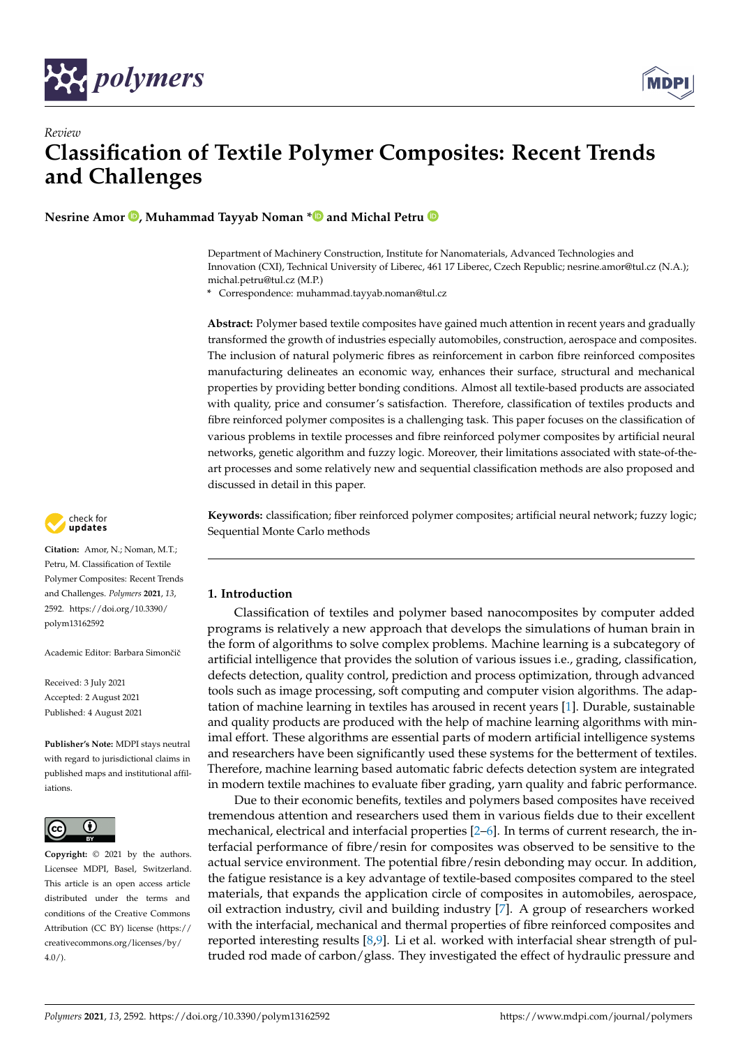

*Review*



# **Classification of Textile Polymer Composites: Recent Trends and Challenges**

**Nesrine Amor [,](https://orcid.org/0000-0001-7320-0036) Muhammad Tayyab Noman [\\*](https://orcid.org/0000-0003-0822-698X) and Michal Petru**

Department of Machinery Construction, Institute for Nanomaterials, Advanced Technologies and Innovation (CXI), Technical University of Liberec, 461 17 Liberec, Czech Republic; nesrine.amor@tul.cz (N.A.); michal.petru@tul.cz (M.P.)

**\*** Correspondence: muhammad.tayyab.noman@tul.cz

**Abstract:** Polymer based textile composites have gained much attention in recent years and gradually transformed the growth of industries especially automobiles, construction, aerospace and composites. The inclusion of natural polymeric fibres as reinforcement in carbon fibre reinforced composites manufacturing delineates an economic way, enhances their surface, structural and mechanical properties by providing better bonding conditions. Almost all textile-based products are associated with quality, price and consumer's satisfaction. Therefore, classification of textiles products and fibre reinforced polymer composites is a challenging task. This paper focuses on the classification of various problems in textile processes and fibre reinforced polymer composites by artificial neural networks, genetic algorithm and fuzzy logic. Moreover, their limitations associated with state-of-theart processes and some relatively new and sequential classification methods are also proposed and discussed in detail in this paper.

**Keywords:** classification; fiber reinforced polymer composites; artificial neural network; fuzzy logic; Sequential Monte Carlo methods

# **1. Introduction**

Classification of textiles and polymer based nanocomposites by computer added programs is relatively a new approach that develops the simulations of human brain in the form of algorithms to solve complex problems. Machine learning is a subcategory of artificial intelligence that provides the solution of various issues i.e., grading, classification, defects detection, quality control, prediction and process optimization, through advanced tools such as image processing, soft computing and computer vision algorithms. The adaptation of machine learning in textiles has aroused in recent years [\[1\]](#page-21-0). Durable, sustainable and quality products are produced with the help of machine learning algorithms with minimal effort. These algorithms are essential parts of modern artificial intelligence systems and researchers have been significantly used these systems for the betterment of textiles. Therefore, machine learning based automatic fabric defects detection system are integrated in modern textile machines to evaluate fiber grading, yarn quality and fabric performance.

Due to their economic benefits, textiles and polymers based composites have received tremendous attention and researchers used them in various fields due to their excellent mechanical, electrical and interfacial properties [\[2–](#page-21-1)[6\]](#page-21-2). In terms of current research, the interfacial performance of fibre/resin for composites was observed to be sensitive to the actual service environment. The potential fibre/resin debonding may occur. In addition, the fatigue resistance is a key advantage of textile-based composites compared to the steel materials, that expands the application circle of composites in automobiles, aerospace, oil extraction industry, civil and building industry [\[7\]](#page-21-3). A group of researchers worked with the interfacial, mechanical and thermal properties of fibre reinforced composites and reported interesting results [\[8](#page-21-4)[,9\]](#page-21-5). Li et al. worked with interfacial shear strength of pultruded rod made of carbon/glass. They investigated the effect of hydraulic pressure and



**Citation:** Amor, N.; Noman, M.T.; Petru, M. Classification of Textile Polymer Composites: Recent Trends and Challenges. *Polymers* **2021**, *13*, 2592. [https://doi.org/10.3390/](https://doi.org/10.3390/polym13162592) [polym13162592](https://doi.org/10.3390/polym13162592)

Academic Editor: Barbara Simončič

Received: 3 July 2021 Accepted: 2 August 2021 Published: 4 August 2021

**Publisher's Note:** MDPI stays neutral with regard to jurisdictional claims in published maps and institutional affiliations.



**Copyright:** © 2021 by the authors. Licensee MDPI, Basel, Switzerland. This article is an open access article distributed under the terms and conditions of the Creative Commons Attribution (CC BY) license (https:/[/](https://creativecommons.org/licenses/by/4.0/) [creativecommons.org/licenses/by/](https://creativecommons.org/licenses/by/4.0/)  $4.0/$ ).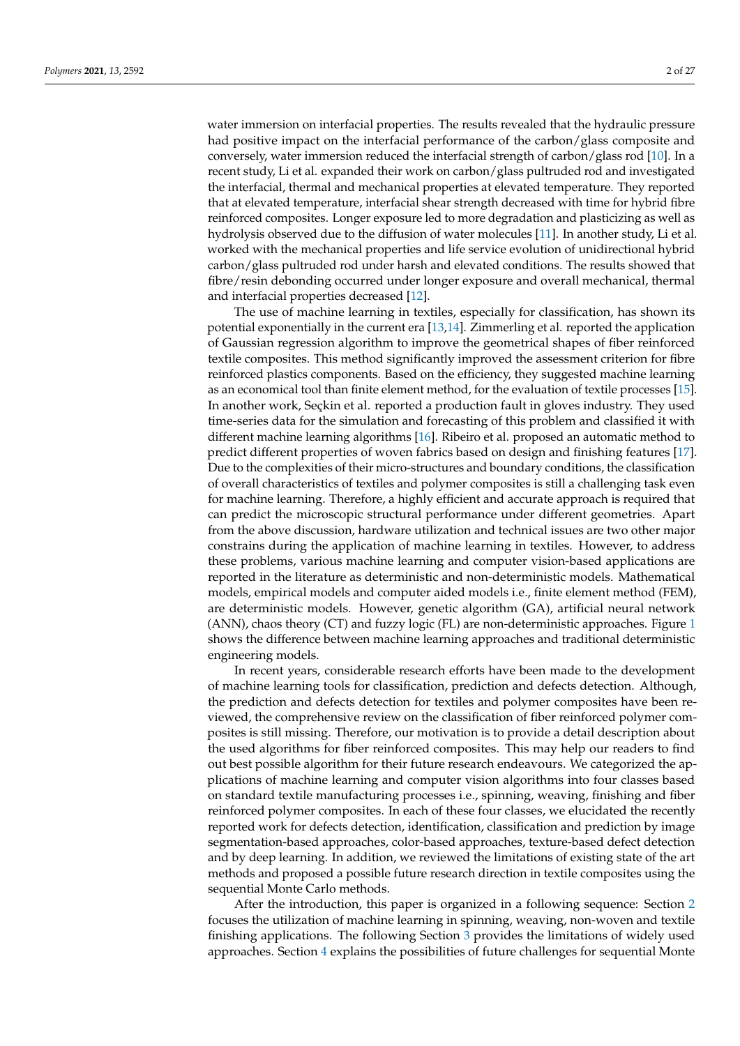water immersion on interfacial properties. The results revealed that the hydraulic pressure had positive impact on the interfacial performance of the carbon/glass composite and conversely, water immersion reduced the interfacial strength of carbon/glass rod [\[10\]](#page-21-6). In a recent study, Li et al. expanded their work on carbon/glass pultruded rod and investigated the interfacial, thermal and mechanical properties at elevated temperature. They reported that at elevated temperature, interfacial shear strength decreased with time for hybrid fibre reinforced composites. Longer exposure led to more degradation and plasticizing as well as hydrolysis observed due to the diffusion of water molecules [\[11\]](#page-21-7). In another study, Li et al. worked with the mechanical properties and life service evolution of unidirectional hybrid carbon/glass pultruded rod under harsh and elevated conditions. The results showed that fibre/resin debonding occurred under longer exposure and overall mechanical, thermal and interfacial properties decreased [\[12\]](#page-21-8).

The use of machine learning in textiles, especially for classification, has shown its potential exponentially in the current era [\[13](#page-21-9)[,14\]](#page-22-0). Zimmerling et al. reported the application of Gaussian regression algorithm to improve the geometrical shapes of fiber reinforced textile composites. This method significantly improved the assessment criterion for fibre reinforced plastics components. Based on the efficiency, they suggested machine learning as an economical tool than finite element method, for the evaluation of textile processes [\[15\]](#page-22-1). In another work, Seçkin et al. reported a production fault in gloves industry. They used time-series data for the simulation and forecasting of this problem and classified it with different machine learning algorithms [\[16\]](#page-22-2). Ribeiro et al. proposed an automatic method to predict different properties of woven fabrics based on design and finishing features [\[17\]](#page-22-3). Due to the complexities of their micro-structures and boundary conditions, the classification of overall characteristics of textiles and polymer composites is still a challenging task even for machine learning. Therefore, a highly efficient and accurate approach is required that can predict the microscopic structural performance under different geometries. Apart from the above discussion, hardware utilization and technical issues are two other major constrains during the application of machine learning in textiles. However, to address these problems, various machine learning and computer vision-based applications are reported in the literature as deterministic and non-deterministic models. Mathematical models, empirical models and computer aided models i.e., finite element method (FEM), are deterministic models. However, genetic algorithm (GA), artificial neural network (ANN), chaos theory (CT) and fuzzy logic (FL) are non-deterministic approaches. Figure [1](#page-2-0) shows the difference between machine learning approaches and traditional deterministic engineering models.

In recent years, considerable research efforts have been made to the development of machine learning tools for classification, prediction and defects detection. Although, the prediction and defects detection for textiles and polymer composites have been reviewed, the comprehensive review on the classification of fiber reinforced polymer composites is still missing. Therefore, our motivation is to provide a detail description about the used algorithms for fiber reinforced composites. This may help our readers to find out best possible algorithm for their future research endeavours. We categorized the applications of machine learning and computer vision algorithms into four classes based on standard textile manufacturing processes i.e., spinning, weaving, finishing and fiber reinforced polymer composites. In each of these four classes, we elucidated the recently reported work for defects detection, identification, classification and prediction by image segmentation-based approaches, color-based approaches, texture-based defect detection and by deep learning. In addition, we reviewed the limitations of existing state of the art methods and proposed a possible future research direction in textile composites using the sequential Monte Carlo methods.

After the introduction, this paper is organized in a following sequence: Section [2](#page-3-0) focuses the utilization of machine learning in spinning, weaving, non-woven and textile finishing applications. The following Section [3](#page-14-0) provides the limitations of widely used approaches. Section [4](#page-16-0) explains the possibilities of future challenges for sequential Monte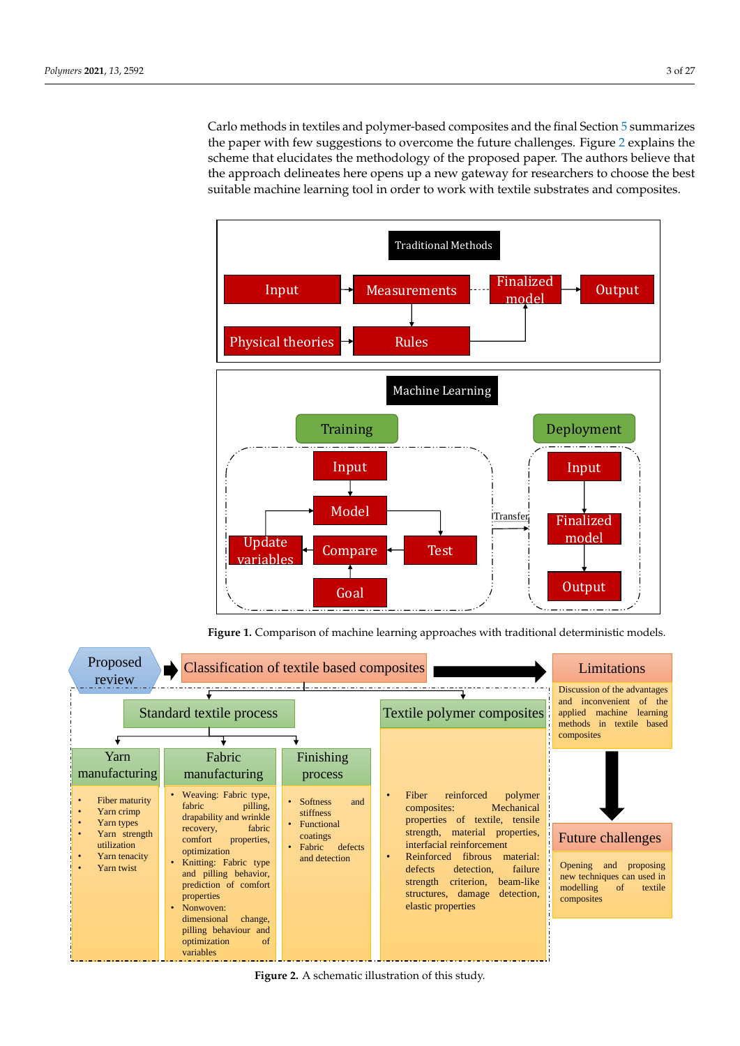Carlo methods in textiles and polymer-based composites and the final Section [5](#page-20-0) summarizes the paper with few suggestions to overcome the future challenges. Figure [2](#page-2-1) explains the scheme that elucidates the methodology of the proposed paper. The authors believe that the approach delineates here opens up a new gateway for researchers to choose the best suitable machine learning tool in order to work with textile substrates and composites.

<span id="page-2-0"></span>

**Figure 1.** Comparison of machine learning approaches with traditional deterministic models.

<span id="page-2-1"></span>

**Figure 2.** A schematic illustration of this study.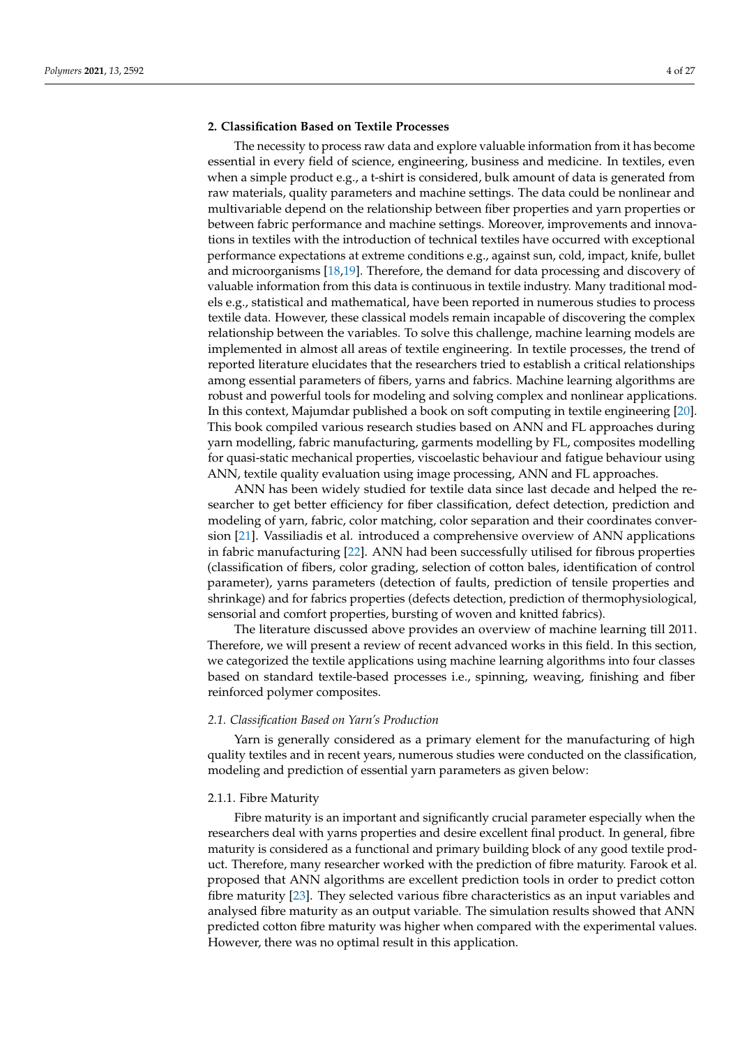# <span id="page-3-0"></span>**2. Classification Based on Textile Processes**

The necessity to process raw data and explore valuable information from it has become essential in every field of science, engineering, business and medicine. In textiles, even when a simple product e.g., a t-shirt is considered, bulk amount of data is generated from raw materials, quality parameters and machine settings. The data could be nonlinear and multivariable depend on the relationship between fiber properties and yarn properties or between fabric performance and machine settings. Moreover, improvements and innovations in textiles with the introduction of technical textiles have occurred with exceptional performance expectations at extreme conditions e.g., against sun, cold, impact, knife, bullet and microorganisms [\[18](#page-22-4)[,19\]](#page-22-5). Therefore, the demand for data processing and discovery of valuable information from this data is continuous in textile industry. Many traditional models e.g., statistical and mathematical, have been reported in numerous studies to process textile data. However, these classical models remain incapable of discovering the complex relationship between the variables. To solve this challenge, machine learning models are implemented in almost all areas of textile engineering. In textile processes, the trend of reported literature elucidates that the researchers tried to establish a critical relationships among essential parameters of fibers, yarns and fabrics. Machine learning algorithms are robust and powerful tools for modeling and solving complex and nonlinear applications. In this context, Majumdar published a book on soft computing in textile engineering [\[20\]](#page-22-6). This book compiled various research studies based on ANN and FL approaches during yarn modelling, fabric manufacturing, garments modelling by FL, composites modelling for quasi-static mechanical properties, viscoelastic behaviour and fatigue behaviour using ANN, textile quality evaluation using image processing, ANN and FL approaches.

ANN has been widely studied for textile data since last decade and helped the researcher to get better efficiency for fiber classification, defect detection, prediction and modeling of yarn, fabric, color matching, color separation and their coordinates conversion [\[21\]](#page-22-7). Vassiliadis et al. introduced a comprehensive overview of ANN applications in fabric manufacturing [\[22\]](#page-22-8). ANN had been successfully utilised for fibrous properties (classification of fibers, color grading, selection of cotton bales, identification of control parameter), yarns parameters (detection of faults, prediction of tensile properties and shrinkage) and for fabrics properties (defects detection, prediction of thermophysiological, sensorial and comfort properties, bursting of woven and knitted fabrics).

The literature discussed above provides an overview of machine learning till 2011. Therefore, we will present a review of recent advanced works in this field. In this section, we categorized the textile applications using machine learning algorithms into four classes based on standard textile-based processes i.e., spinning, weaving, finishing and fiber reinforced polymer composites.

#### *2.1. Classification Based on Yarn's Production*

Yarn is generally considered as a primary element for the manufacturing of high quality textiles and in recent years, numerous studies were conducted on the classification, modeling and prediction of essential yarn parameters as given below:

#### 2.1.1. Fibre Maturity

Fibre maturity is an important and significantly crucial parameter especially when the researchers deal with yarns properties and desire excellent final product. In general, fibre maturity is considered as a functional and primary building block of any good textile product. Therefore, many researcher worked with the prediction of fibre maturity. Farook et al. proposed that ANN algorithms are excellent prediction tools in order to predict cotton fibre maturity [\[23\]](#page-22-9). They selected various fibre characteristics as an input variables and analysed fibre maturity as an output variable. The simulation results showed that ANN predicted cotton fibre maturity was higher when compared with the experimental values. However, there was no optimal result in this application.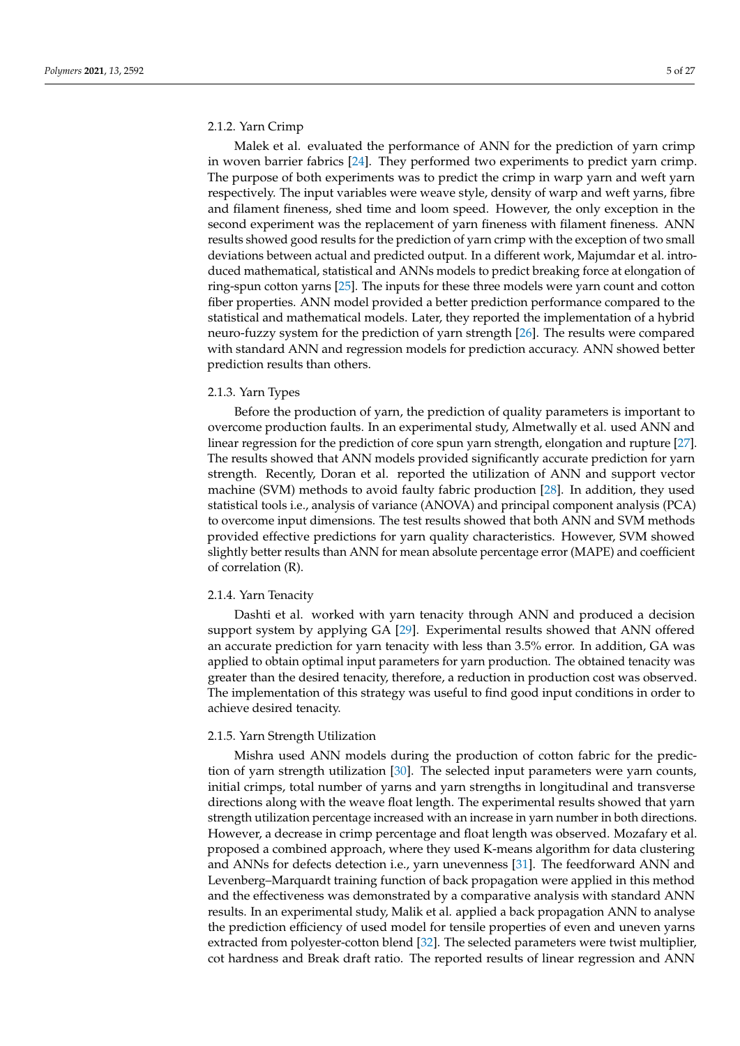# 2.1.2. Yarn Crimp

Malek et al. evaluated the performance of ANN for the prediction of yarn crimp in woven barrier fabrics [\[24\]](#page-22-10). They performed two experiments to predict yarn crimp. The purpose of both experiments was to predict the crimp in warp yarn and weft yarn respectively. The input variables were weave style, density of warp and weft yarns, fibre and filament fineness, shed time and loom speed. However, the only exception in the second experiment was the replacement of yarn fineness with filament fineness. ANN results showed good results for the prediction of yarn crimp with the exception of two small deviations between actual and predicted output. In a different work, Majumdar et al. introduced mathematical, statistical and ANNs models to predict breaking force at elongation of ring-spun cotton yarns [\[25\]](#page-22-11). The inputs for these three models were yarn count and cotton fiber properties. ANN model provided a better prediction performance compared to the statistical and mathematical models. Later, they reported the implementation of a hybrid neuro-fuzzy system for the prediction of yarn strength [\[26\]](#page-22-12). The results were compared with standard ANN and regression models for prediction accuracy. ANN showed better prediction results than others.

#### 2.1.3. Yarn Types

Before the production of yarn, the prediction of quality parameters is important to overcome production faults. In an experimental study, Almetwally et al. used ANN and linear regression for the prediction of core spun yarn strength, elongation and rupture [\[27\]](#page-22-13). The results showed that ANN models provided significantly accurate prediction for yarn strength. Recently, Doran et al. reported the utilization of ANN and support vector machine (SVM) methods to avoid faulty fabric production [\[28\]](#page-22-14). In addition, they used statistical tools i.e., analysis of variance (ANOVA) and principal component analysis (PCA) to overcome input dimensions. The test results showed that both ANN and SVM methods provided effective predictions for yarn quality characteristics. However, SVM showed slightly better results than ANN for mean absolute percentage error (MAPE) and coefficient of correlation (R).

# 2.1.4. Yarn Tenacity

Dashti et al. worked with yarn tenacity through ANN and produced a decision support system by applying GA [\[29\]](#page-22-15). Experimental results showed that ANN offered an accurate prediction for yarn tenacity with less than 3.5% error. In addition, GA was applied to obtain optimal input parameters for yarn production. The obtained tenacity was greater than the desired tenacity, therefore, a reduction in production cost was observed. The implementation of this strategy was useful to find good input conditions in order to achieve desired tenacity.

#### 2.1.5. Yarn Strength Utilization

Mishra used ANN models during the production of cotton fabric for the prediction of yarn strength utilization [\[30\]](#page-22-16). The selected input parameters were yarn counts, initial crimps, total number of yarns and yarn strengths in longitudinal and transverse directions along with the weave float length. The experimental results showed that yarn strength utilization percentage increased with an increase in yarn number in both directions. However, a decrease in crimp percentage and float length was observed. Mozafary et al. proposed a combined approach, where they used K-means algorithm for data clustering and ANNs for defects detection i.e., yarn unevenness [\[31\]](#page-22-17). The feedforward ANN and Levenberg–Marquardt training function of back propagation were applied in this method and the effectiveness was demonstrated by a comparative analysis with standard ANN results. In an experimental study, Malik et al. applied a back propagation ANN to analyse the prediction efficiency of used model for tensile properties of even and uneven yarns extracted from polyester-cotton blend [\[32\]](#page-22-18). The selected parameters were twist multiplier, cot hardness and Break draft ratio. The reported results of linear regression and ANN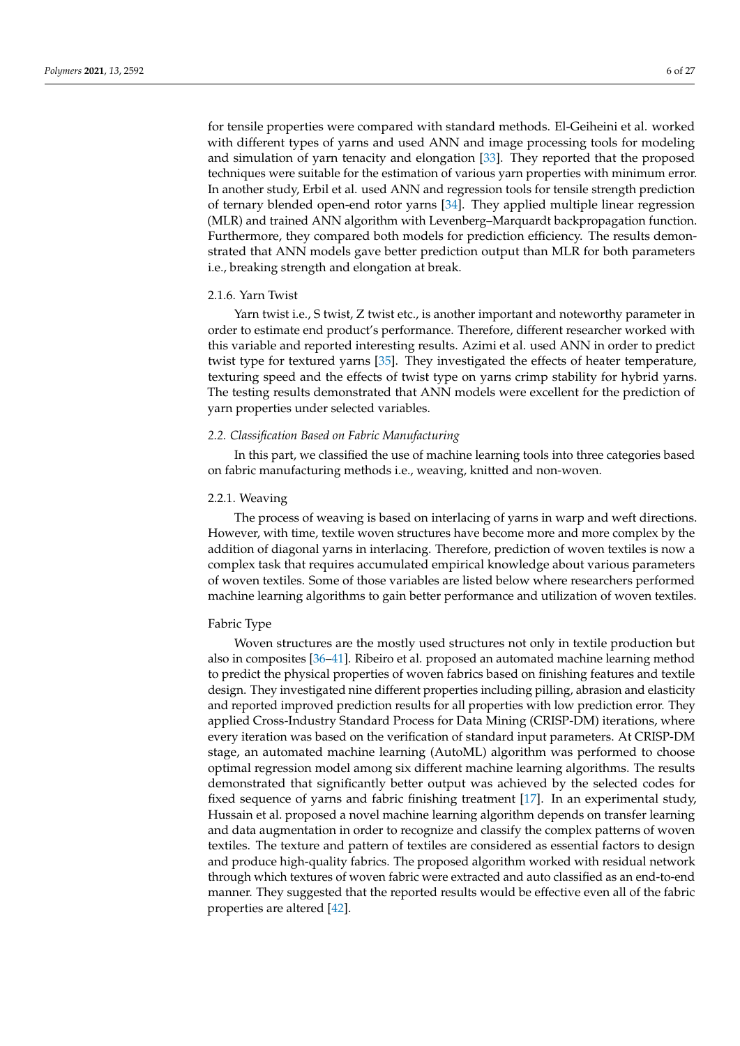for tensile properties were compared with standard methods. El-Geiheini et al. worked with different types of yarns and used ANN and image processing tools for modeling and simulation of yarn tenacity and elongation [\[33\]](#page-22-19). They reported that the proposed techniques were suitable for the estimation of various yarn properties with minimum error. In another study, Erbil et al. used ANN and regression tools for tensile strength prediction of ternary blended open-end rotor yarns [\[34\]](#page-22-20). They applied multiple linear regression (MLR) and trained ANN algorithm with Levenberg–Marquardt backpropagation function. Furthermore, they compared both models for prediction efficiency. The results demonstrated that ANN models gave better prediction output than MLR for both parameters i.e., breaking strength and elongation at break.

#### 2.1.6. Yarn Twist

Yarn twist i.e., S twist, Z twist etc., is another important and noteworthy parameter in order to estimate end product's performance. Therefore, different researcher worked with this variable and reported interesting results. Azimi et al. used ANN in order to predict twist type for textured yarns [\[35\]](#page-22-21). They investigated the effects of heater temperature, texturing speed and the effects of twist type on yarns crimp stability for hybrid yarns. The testing results demonstrated that ANN models were excellent for the prediction of yarn properties under selected variables.

#### *2.2. Classification Based on Fabric Manufacturing*

In this part, we classified the use of machine learning tools into three categories based on fabric manufacturing methods i.e., weaving, knitted and non-woven.

#### 2.2.1. Weaving

The process of weaving is based on interlacing of yarns in warp and weft directions. However, with time, textile woven structures have become more and more complex by the addition of diagonal yarns in interlacing. Therefore, prediction of woven textiles is now a complex task that requires accumulated empirical knowledge about various parameters of woven textiles. Some of those variables are listed below where researchers performed machine learning algorithms to gain better performance and utilization of woven textiles.

# Fabric Type

Woven structures are the mostly used structures not only in textile production but also in composites [\[36–](#page-22-22)[41\]](#page-22-23). Ribeiro et al. proposed an automated machine learning method to predict the physical properties of woven fabrics based on finishing features and textile design. They investigated nine different properties including pilling, abrasion and elasticity and reported improved prediction results for all properties with low prediction error. They applied Cross-Industry Standard Process for Data Mining (CRISP-DM) iterations, where every iteration was based on the verification of standard input parameters. At CRISP-DM stage, an automated machine learning (AutoML) algorithm was performed to choose optimal regression model among six different machine learning algorithms. The results demonstrated that significantly better output was achieved by the selected codes for fixed sequence of yarns and fabric finishing treatment [\[17\]](#page-22-3). In an experimental study, Hussain et al. proposed a novel machine learning algorithm depends on transfer learning and data augmentation in order to recognize and classify the complex patterns of woven textiles. The texture and pattern of textiles are considered as essential factors to design and produce high-quality fabrics. The proposed algorithm worked with residual network through which textures of woven fabric were extracted and auto classified as an end-to-end manner. They suggested that the reported results would be effective even all of the fabric properties are altered [\[42\]](#page-22-24).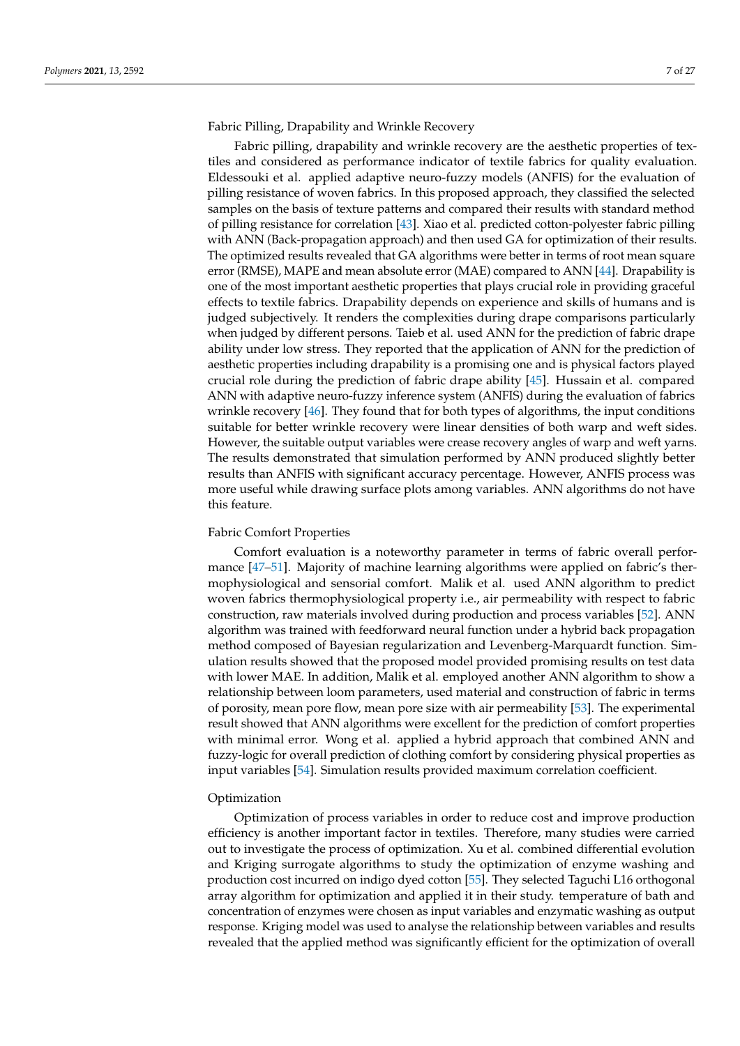Fabric Pilling, Drapability and Wrinkle Recovery

Fabric pilling, drapability and wrinkle recovery are the aesthetic properties of textiles and considered as performance indicator of textile fabrics for quality evaluation. Eldessouki et al. applied adaptive neuro-fuzzy models (ANFIS) for the evaluation of pilling resistance of woven fabrics. In this proposed approach, they classified the selected samples on the basis of texture patterns and compared their results with standard method of pilling resistance for correlation [\[43\]](#page-23-0). Xiao et al. predicted cotton-polyester fabric pilling with ANN (Back-propagation approach) and then used GA for optimization of their results. The optimized results revealed that GA algorithms were better in terms of root mean square error (RMSE), MAPE and mean absolute error (MAE) compared to ANN [\[44\]](#page-23-1). Drapability is one of the most important aesthetic properties that plays crucial role in providing graceful effects to textile fabrics. Drapability depends on experience and skills of humans and is judged subjectively. It renders the complexities during drape comparisons particularly when judged by different persons. Taieb et al. used ANN for the prediction of fabric drape ability under low stress. They reported that the application of ANN for the prediction of aesthetic properties including drapability is a promising one and is physical factors played crucial role during the prediction of fabric drape ability [\[45\]](#page-23-2). Hussain et al. compared ANN with adaptive neuro-fuzzy inference system (ANFIS) during the evaluation of fabrics wrinkle recovery [\[46\]](#page-23-3). They found that for both types of algorithms, the input conditions suitable for better wrinkle recovery were linear densities of both warp and weft sides. However, the suitable output variables were crease recovery angles of warp and weft yarns. The results demonstrated that simulation performed by ANN produced slightly better results than ANFIS with significant accuracy percentage. However, ANFIS process was more useful while drawing surface plots among variables. ANN algorithms do not have this feature.

#### Fabric Comfort Properties

Comfort evaluation is a noteworthy parameter in terms of fabric overall performance [\[47](#page-23-4)[–51\]](#page-23-5). Majority of machine learning algorithms were applied on fabric's thermophysiological and sensorial comfort. Malik et al. used ANN algorithm to predict woven fabrics thermophysiological property i.e., air permeability with respect to fabric construction, raw materials involved during production and process variables [\[52\]](#page-23-6). ANN algorithm was trained with feedforward neural function under a hybrid back propagation method composed of Bayesian regularization and Levenberg-Marquardt function. Simulation results showed that the proposed model provided promising results on test data with lower MAE. In addition, Malik et al. employed another ANN algorithm to show a relationship between loom parameters, used material and construction of fabric in terms of porosity, mean pore flow, mean pore size with air permeability [\[53\]](#page-23-7). The experimental result showed that ANN algorithms were excellent for the prediction of comfort properties with minimal error. Wong et al. applied a hybrid approach that combined ANN and fuzzy-logic for overall prediction of clothing comfort by considering physical properties as input variables [\[54\]](#page-23-8). Simulation results provided maximum correlation coefficient.

#### Optimization

Optimization of process variables in order to reduce cost and improve production efficiency is another important factor in textiles. Therefore, many studies were carried out to investigate the process of optimization. Xu et al. combined differential evolution and Kriging surrogate algorithms to study the optimization of enzyme washing and production cost incurred on indigo dyed cotton [\[55\]](#page-23-9). They selected Taguchi L16 orthogonal array algorithm for optimization and applied it in their study. temperature of bath and concentration of enzymes were chosen as input variables and enzymatic washing as output response. Kriging model was used to analyse the relationship between variables and results revealed that the applied method was significantly efficient for the optimization of overall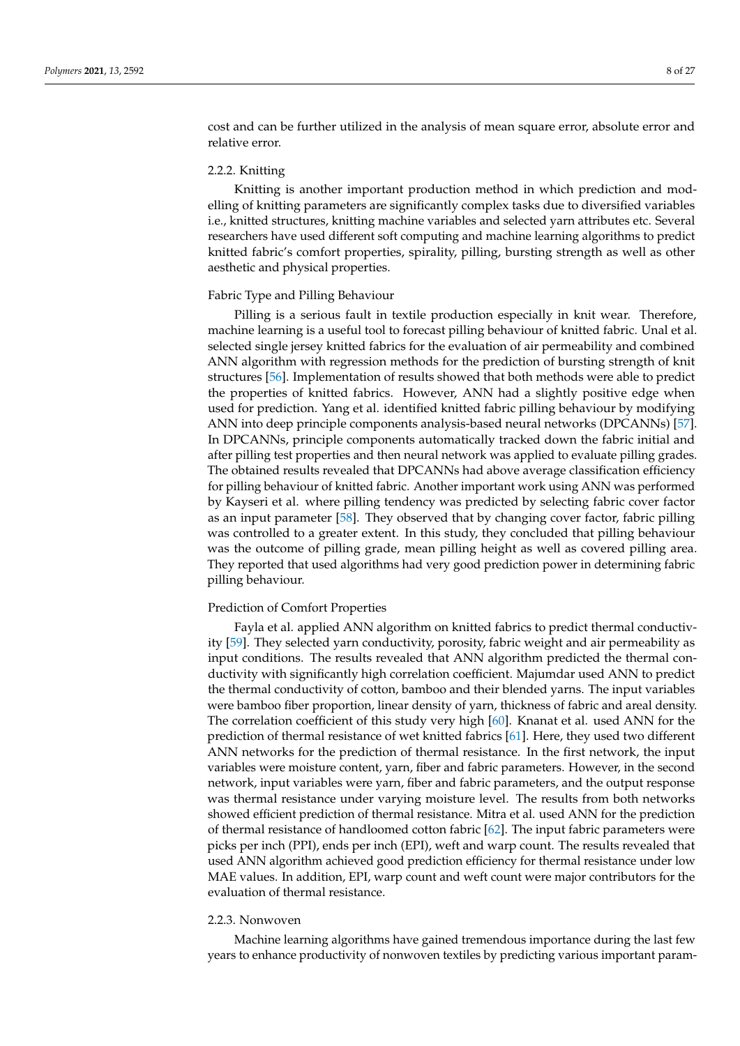cost and can be further utilized in the analysis of mean square error, absolute error and relative error.

#### 2.2.2. Knitting

Knitting is another important production method in which prediction and modelling of knitting parameters are significantly complex tasks due to diversified variables i.e., knitted structures, knitting machine variables and selected yarn attributes etc. Several researchers have used different soft computing and machine learning algorithms to predict knitted fabric's comfort properties, spirality, pilling, bursting strength as well as other aesthetic and physical properties.

# Fabric Type and Pilling Behaviour

Pilling is a serious fault in textile production especially in knit wear. Therefore, machine learning is a useful tool to forecast pilling behaviour of knitted fabric. Unal et al. selected single jersey knitted fabrics for the evaluation of air permeability and combined ANN algorithm with regression methods for the prediction of bursting strength of knit structures [\[56\]](#page-23-10). Implementation of results showed that both methods were able to predict the properties of knitted fabrics. However, ANN had a slightly positive edge when used for prediction. Yang et al. identified knitted fabric pilling behaviour by modifying ANN into deep principle components analysis-based neural networks (DPCANNs) [\[57\]](#page-23-11). In DPCANNs, principle components automatically tracked down the fabric initial and after pilling test properties and then neural network was applied to evaluate pilling grades. The obtained results revealed that DPCANNs had above average classification efficiency for pilling behaviour of knitted fabric. Another important work using ANN was performed by Kayseri et al. where pilling tendency was predicted by selecting fabric cover factor as an input parameter [\[58\]](#page-23-12). They observed that by changing cover factor, fabric pilling was controlled to a greater extent. In this study, they concluded that pilling behaviour was the outcome of pilling grade, mean pilling height as well as covered pilling area. They reported that used algorithms had very good prediction power in determining fabric pilling behaviour.

#### Prediction of Comfort Properties

Fayla et al. applied ANN algorithm on knitted fabrics to predict thermal conductivity [\[59\]](#page-23-13). They selected yarn conductivity, porosity, fabric weight and air permeability as input conditions. The results revealed that ANN algorithm predicted the thermal conductivity with significantly high correlation coefficient. Majumdar used ANN to predict the thermal conductivity of cotton, bamboo and their blended yarns. The input variables were bamboo fiber proportion, linear density of yarn, thickness of fabric and areal density. The correlation coefficient of this study very high [\[60\]](#page-23-14). Knanat et al. used ANN for the prediction of thermal resistance of wet knitted fabrics [\[61\]](#page-23-15). Here, they used two different ANN networks for the prediction of thermal resistance. In the first network, the input variables were moisture content, yarn, fiber and fabric parameters. However, in the second network, input variables were yarn, fiber and fabric parameters, and the output response was thermal resistance under varying moisture level. The results from both networks showed efficient prediction of thermal resistance. Mitra et al. used ANN for the prediction of thermal resistance of handloomed cotton fabric [\[62\]](#page-23-16). The input fabric parameters were picks per inch (PPI), ends per inch (EPI), weft and warp count. The results revealed that used ANN algorithm achieved good prediction efficiency for thermal resistance under low MAE values. In addition, EPI, warp count and weft count were major contributors for the evaluation of thermal resistance.

#### 2.2.3. Nonwoven

Machine learning algorithms have gained tremendous importance during the last few years to enhance productivity of nonwoven textiles by predicting various important param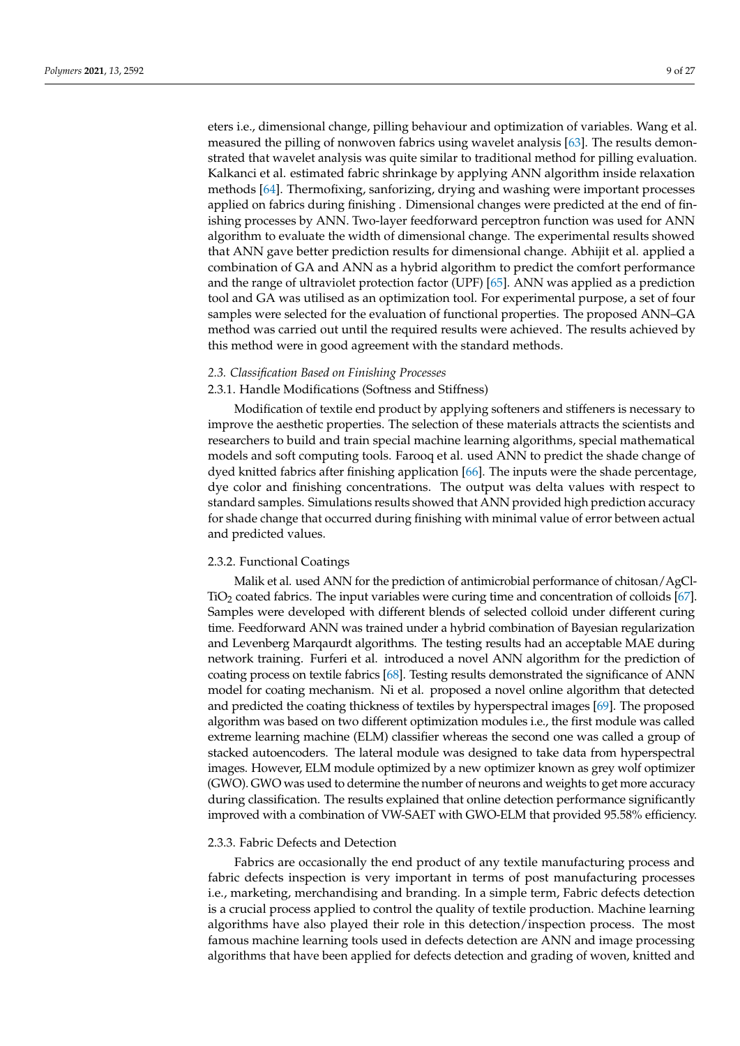eters i.e., dimensional change, pilling behaviour and optimization of variables. Wang et al. measured the pilling of nonwoven fabrics using wavelet analysis [\[63\]](#page-23-17). The results demonstrated that wavelet analysis was quite similar to traditional method for pilling evaluation. Kalkanci et al. estimated fabric shrinkage by applying ANN algorithm inside relaxation methods [\[64\]](#page-23-18). Thermofixing, sanforizing, drying and washing were important processes applied on fabrics during finishing . Dimensional changes were predicted at the end of finishing processes by ANN. Two-layer feedforward perceptron function was used for ANN algorithm to evaluate the width of dimensional change. The experimental results showed that ANN gave better prediction results for dimensional change. Abhijit et al. applied a combination of GA and ANN as a hybrid algorithm to predict the comfort performance and the range of ultraviolet protection factor (UPF) [\[65\]](#page-23-19). ANN was applied as a prediction tool and GA was utilised as an optimization tool. For experimental purpose, a set of four samples were selected for the evaluation of functional properties. The proposed ANN–GA method was carried out until the required results were achieved. The results achieved by this method were in good agreement with the standard methods.

## *2.3. Classification Based on Finishing Processes*

# 2.3.1. Handle Modifications (Softness and Stiffness)

Modification of textile end product by applying softeners and stiffeners is necessary to improve the aesthetic properties. The selection of these materials attracts the scientists and researchers to build and train special machine learning algorithms, special mathematical models and soft computing tools. Farooq et al. used ANN to predict the shade change of dyed knitted fabrics after finishing application [\[66\]](#page-23-20). The inputs were the shade percentage, dye color and finishing concentrations. The output was delta values with respect to standard samples. Simulations results showed that ANN provided high prediction accuracy for shade change that occurred during finishing with minimal value of error between actual and predicted values.

#### 2.3.2. Functional Coatings

Malik et al. used ANN for the prediction of antimicrobial performance of chitosan/AgCl-TiO<sup>2</sup> coated fabrics. The input variables were curing time and concentration of colloids [\[67\]](#page-23-21). Samples were developed with different blends of selected colloid under different curing time. Feedforward ANN was trained under a hybrid combination of Bayesian regularization and Levenberg Marqaurdt algorithms. The testing results had an acceptable MAE during network training. Furferi et al. introduced a novel ANN algorithm for the prediction of coating process on textile fabrics [\[68\]](#page-23-22). Testing results demonstrated the significance of ANN model for coating mechanism. Ni et al. proposed a novel online algorithm that detected and predicted the coating thickness of textiles by hyperspectral images [\[69\]](#page-23-23). The proposed algorithm was based on two different optimization modules i.e., the first module was called extreme learning machine (ELM) classifier whereas the second one was called a group of stacked autoencoders. The lateral module was designed to take data from hyperspectral images. However, ELM module optimized by a new optimizer known as grey wolf optimizer (GWO). GWO was used to determine the number of neurons and weights to get more accuracy during classification. The results explained that online detection performance significantly improved with a combination of VW-SAET with GWO-ELM that provided 95.58% efficiency.

#### 2.3.3. Fabric Defects and Detection

Fabrics are occasionally the end product of any textile manufacturing process and fabric defects inspection is very important in terms of post manufacturing processes i.e., marketing, merchandising and branding. In a simple term, Fabric defects detection is a crucial process applied to control the quality of textile production. Machine learning algorithms have also played their role in this detection/inspection process. The most famous machine learning tools used in defects detection are ANN and image processing algorithms that have been applied for defects detection and grading of woven, knitted and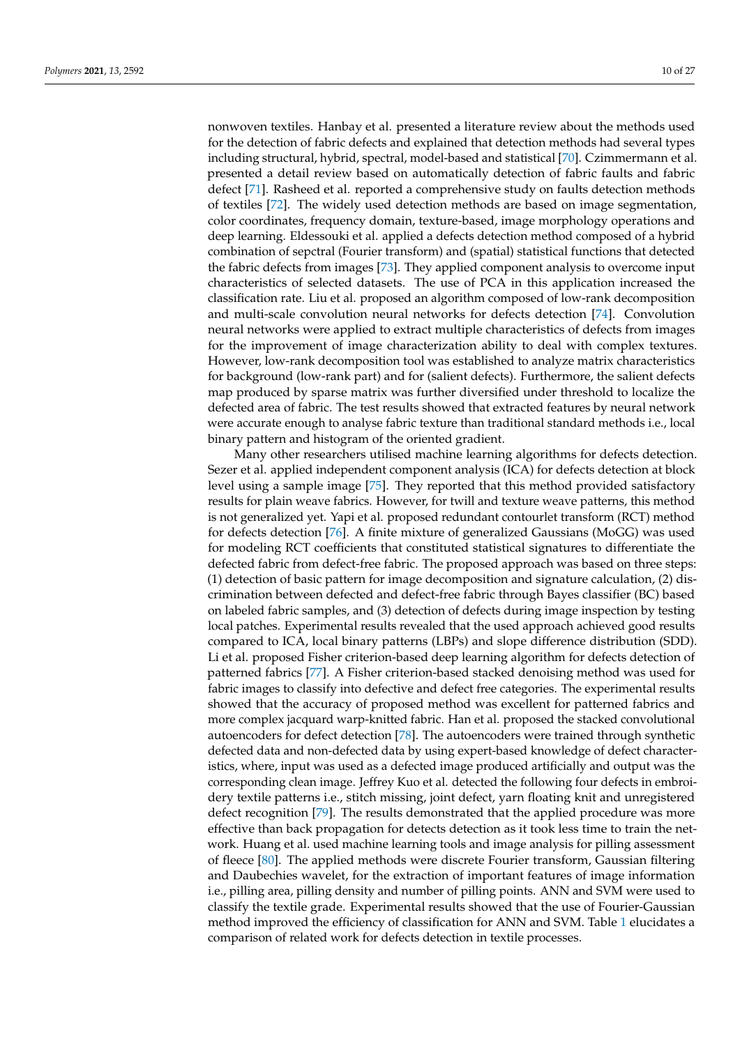nonwoven textiles. Hanbay et al. presented a literature review about the methods used for the detection of fabric defects and explained that detection methods had several types including structural, hybrid, spectral, model-based and statistical [\[70\]](#page-23-24). Czimmermann et al. presented a detail review based on automatically detection of fabric faults and fabric defect [\[71\]](#page-24-0). Rasheed et al. reported a comprehensive study on faults detection methods of textiles [\[72\]](#page-24-1). The widely used detection methods are based on image segmentation, color coordinates, frequency domain, texture-based, image morphology operations and deep learning. Eldessouki et al. applied a defects detection method composed of a hybrid combination of sepctral (Fourier transform) and (spatial) statistical functions that detected the fabric defects from images [\[73\]](#page-24-2). They applied component analysis to overcome input characteristics of selected datasets. The use of PCA in this application increased the classification rate. Liu et al. proposed an algorithm composed of low-rank decomposition and multi-scale convolution neural networks for defects detection [\[74\]](#page-24-3). Convolution neural networks were applied to extract multiple characteristics of defects from images for the improvement of image characterization ability to deal with complex textures. However, low-rank decomposition tool was established to analyze matrix characteristics for background (low-rank part) and for (salient defects). Furthermore, the salient defects map produced by sparse matrix was further diversified under threshold to localize the defected area of fabric. The test results showed that extracted features by neural network were accurate enough to analyse fabric texture than traditional standard methods i.e., local binary pattern and histogram of the oriented gradient.

Many other researchers utilised machine learning algorithms for defects detection. Sezer et al. applied independent component analysis (ICA) for defects detection at block level using a sample image [\[75\]](#page-24-4). They reported that this method provided satisfactory results for plain weave fabrics. However, for twill and texture weave patterns, this method is not generalized yet. Yapi et al. proposed redundant contourlet transform (RCT) method for defects detection [\[76\]](#page-24-5). A finite mixture of generalized Gaussians (MoGG) was used for modeling RCT coefficients that constituted statistical signatures to differentiate the defected fabric from defect-free fabric. The proposed approach was based on three steps: (1) detection of basic pattern for image decomposition and signature calculation, (2) discrimination between defected and defect-free fabric through Bayes classifier (BC) based on labeled fabric samples, and (3) detection of defects during image inspection by testing local patches. Experimental results revealed that the used approach achieved good results compared to ICA, local binary patterns (LBPs) and slope difference distribution (SDD). Li et al. proposed Fisher criterion-based deep learning algorithm for defects detection of patterned fabrics [\[77\]](#page-24-6). A Fisher criterion-based stacked denoising method was used for fabric images to classify into defective and defect free categories. The experimental results showed that the accuracy of proposed method was excellent for patterned fabrics and more complex jacquard warp-knitted fabric. Han et al. proposed the stacked convolutional autoencoders for defect detection [\[78\]](#page-24-7). The autoencoders were trained through synthetic defected data and non-defected data by using expert-based knowledge of defect characteristics, where, input was used as a defected image produced artificially and output was the corresponding clean image. Jeffrey Kuo et al. detected the following four defects in embroidery textile patterns i.e., stitch missing, joint defect, yarn floating knit and unregistered defect recognition [\[79\]](#page-24-8). The results demonstrated that the applied procedure was more effective than back propagation for detects detection as it took less time to train the network. Huang et al. used machine learning tools and image analysis for pilling assessment of fleece [\[80\]](#page-24-9). The applied methods were discrete Fourier transform, Gaussian filtering and Daubechies wavelet, for the extraction of important features of image information i.e., pilling area, pilling density and number of pilling points. ANN and SVM were used to classify the textile grade. Experimental results showed that the use of Fourier-Gaussian method improved the efficiency of classification for ANN and SVM. Table [1](#page-10-0) elucidates a comparison of related work for defects detection in textile processes.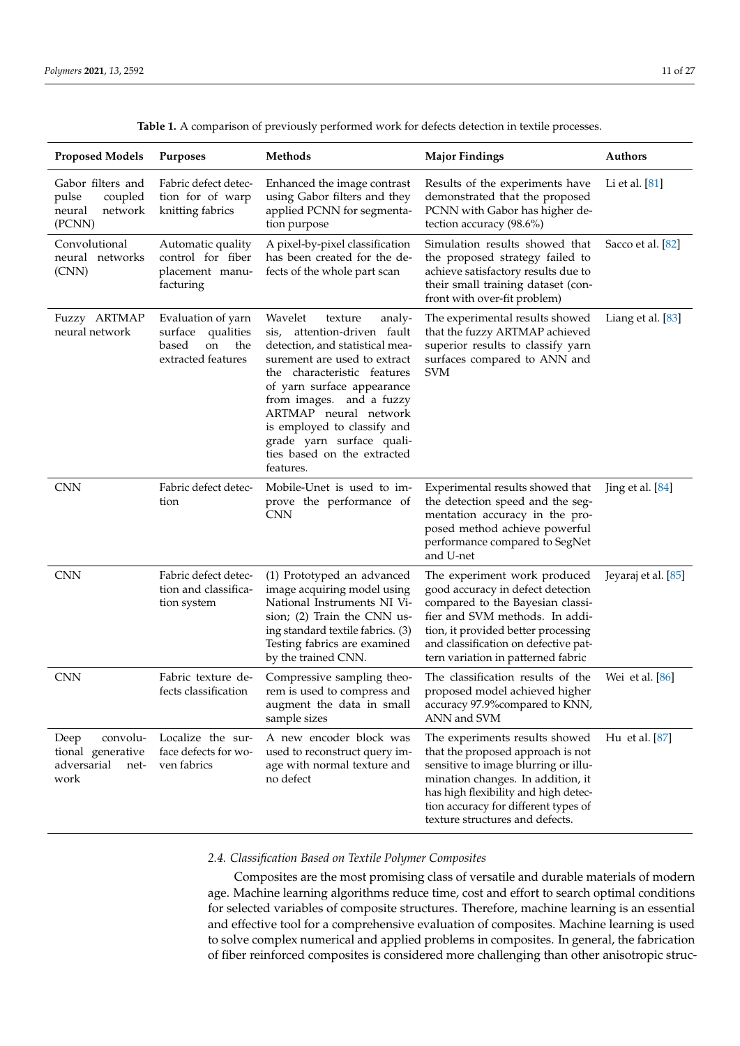<span id="page-10-0"></span>

| <b>Proposed Models</b>                                               | <b>Purposes</b>                                                                        | <b>Methods</b>                                                                                                                                                                                                                                                                                                                                              | <b>Major Findings</b>                                                                                                                                                                                                                                               | <b>Authors</b>      |
|----------------------------------------------------------------------|----------------------------------------------------------------------------------------|-------------------------------------------------------------------------------------------------------------------------------------------------------------------------------------------------------------------------------------------------------------------------------------------------------------------------------------------------------------|---------------------------------------------------------------------------------------------------------------------------------------------------------------------------------------------------------------------------------------------------------------------|---------------------|
| Gabor filters and<br>pulse<br>coupled<br>network<br>neural<br>(PCNN) | Fabric defect detec-<br>tion for of warp<br>knitting fabrics                           | Enhanced the image contrast<br>using Gabor filters and they<br>applied PCNN for segmenta-<br>tion purpose                                                                                                                                                                                                                                                   | Results of the experiments have<br>demonstrated that the proposed<br>PCNN with Gabor has higher de-<br>tection accuracy (98.6%)                                                                                                                                     | Li et al. [81]      |
| Convolutional<br>neural networks<br>(CNN)                            | Automatic quality<br>control for fiber<br>placement manu-<br>facturing                 | A pixel-by-pixel classification<br>has been created for the de-<br>fects of the whole part scan                                                                                                                                                                                                                                                             | Simulation results showed that<br>the proposed strategy failed to<br>achieve satisfactory results due to<br>their small training dataset (con-<br>front with over-fit problem)                                                                                      | Sacco et al. [82]   |
| Fuzzy ARTMAP<br>neural network                                       | Evaluation of yarn<br>qualities<br>surface<br>based<br>the<br>on<br>extracted features | Wavelet<br>texture<br>analy-<br>attention-driven fault<br>sis,<br>detection, and statistical mea-<br>surement are used to extract<br>the characteristic features<br>of yarn surface appearance<br>from images. and a fuzzy<br>ARTMAP neural network<br>is employed to classify and<br>grade yarn surface quali-<br>ties based on the extracted<br>features. | The experimental results showed<br>that the fuzzy ARTMAP achieved<br>superior results to classify yarn<br>surfaces compared to ANN and<br><b>SVM</b>                                                                                                                | Liang et al. [83]   |
| <b>CNN</b>                                                           | Fabric defect detec-<br>tion                                                           | Mobile-Unet is used to im-<br>prove the performance of<br><b>CNN</b>                                                                                                                                                                                                                                                                                        | Experimental results showed that<br>the detection speed and the seg-<br>mentation accuracy in the pro-<br>posed method achieve powerful<br>performance compared to SegNet<br>and U-net                                                                              | Jing et al. $[84]$  |
| <b>CNN</b>                                                           | Fabric defect detec-<br>tion and classifica-<br>tion system                            | (1) Prototyped an advanced<br>image acquiring model using<br>National Instruments NI Vi-<br>sion; (2) Train the CNN us-<br>ing standard textile fabrics. (3)<br>Testing fabrics are examined<br>by the trained CNN.                                                                                                                                         | The experiment work produced<br>good accuracy in defect detection<br>compared to the Bayesian classi-<br>fier and SVM methods. In addi-<br>tion, it provided better processing<br>and classification on defective pat-<br>tern variation in patterned fabric        | Jeyaraj et al. [85] |
| <b>CNN</b>                                                           | Fabric texture de-<br>fects classification                                             | Compressive sampling theo-<br>rem is used to compress and<br>augment the data in small<br>sample sizes                                                                                                                                                                                                                                                      | The classification results of the<br>proposed model achieved higher<br>accuracy 97.9% compared to KNN,<br>ANN and SVM                                                                                                                                               | Wei et al. [86]     |
| convolu-<br>Deep<br>tional generative<br>adversarial<br>net-<br>work | Localize the sur-<br>face defects for wo-<br>ven fabrics                               | A new encoder block was<br>used to reconstruct query im-<br>age with normal texture and<br>no defect                                                                                                                                                                                                                                                        | The experiments results showed<br>that the proposed approach is not<br>sensitive to image blurring or illu-<br>mination changes. In addition, it<br>has high flexibility and high detec-<br>tion accuracy for different types of<br>texture structures and defects. | Hu et al. [87]      |

**Table 1.** A comparison of previously performed work for defects detection in textile processes.

# *2.4. Classification Based on Textile Polymer Composites*

Composites are the most promising class of versatile and durable materials of modern age. Machine learning algorithms reduce time, cost and effort to search optimal conditions for selected variables of composite structures. Therefore, machine learning is an essential and effective tool for a comprehensive evaluation of composites. Machine learning is used to solve complex numerical and applied problems in composites. In general, the fabrication of fiber reinforced composites is considered more challenging than other anisotropic struc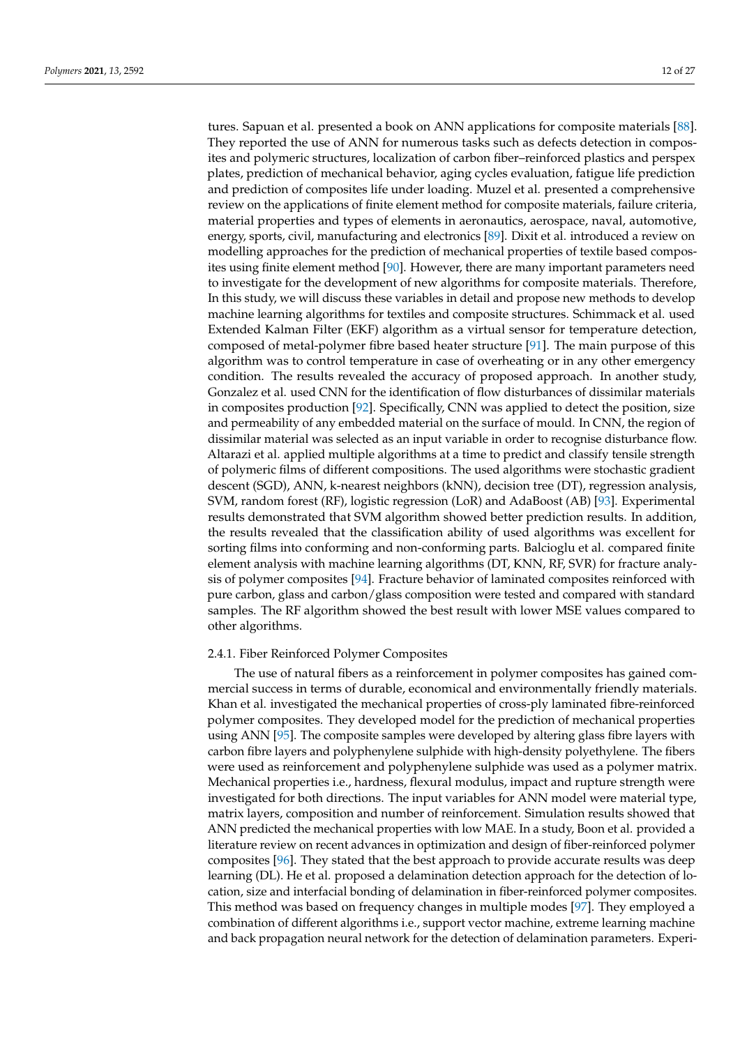tures. Sapuan et al. presented a book on ANN applications for composite materials [\[88\]](#page-24-17). They reported the use of ANN for numerous tasks such as defects detection in composites and polymeric structures, localization of carbon fiber–reinforced plastics and perspex plates, prediction of mechanical behavior, aging cycles evaluation, fatigue life prediction and prediction of composites life under loading. Muzel et al. presented a comprehensive review on the applications of finite element method for composite materials, failure criteria, material properties and types of elements in aeronautics, aerospace, naval, automotive, energy, sports, civil, manufacturing and electronics [\[89\]](#page-24-18). Dixit et al. introduced a review on modelling approaches for the prediction of mechanical properties of textile based composites using finite element method [\[90\]](#page-24-19). However, there are many important parameters need to investigate for the development of new algorithms for composite materials. Therefore, In this study, we will discuss these variables in detail and propose new methods to develop machine learning algorithms for textiles and composite structures. Schimmack et al. used Extended Kalman Filter (EKF) algorithm as a virtual sensor for temperature detection, composed of metal-polymer fibre based heater structure [\[91\]](#page-24-20). The main purpose of this algorithm was to control temperature in case of overheating or in any other emergency condition. The results revealed the accuracy of proposed approach. In another study, Gonzalez et al. used CNN for the identification of flow disturbances of dissimilar materials in composites production [\[92\]](#page-24-21). Specifically, CNN was applied to detect the position, size and permeability of any embedded material on the surface of mould. In CNN, the region of dissimilar material was selected as an input variable in order to recognise disturbance flow. Altarazi et al. applied multiple algorithms at a time to predict and classify tensile strength of polymeric films of different compositions. The used algorithms were stochastic gradient descent (SGD), ANN, k-nearest neighbors (kNN), decision tree (DT), regression analysis, SVM, random forest (RF), logistic regression (LoR) and AdaBoost (AB) [\[93\]](#page-24-22). Experimental results demonstrated that SVM algorithm showed better prediction results. In addition, the results revealed that the classification ability of used algorithms was excellent for sorting films into conforming and non-conforming parts. Balcioglu et al. compared finite element analysis with machine learning algorithms (DT, KNN, RF, SVR) for fracture analysis of polymer composites [\[94\]](#page-24-23). Fracture behavior of laminated composites reinforced with pure carbon, glass and carbon/glass composition were tested and compared with standard samples. The RF algorithm showed the best result with lower MSE values compared to other algorithms.

#### 2.4.1. Fiber Reinforced Polymer Composites

The use of natural fibers as a reinforcement in polymer composites has gained commercial success in terms of durable, economical and environmentally friendly materials. Khan et al. investigated the mechanical properties of cross-ply laminated fibre-reinforced polymer composites. They developed model for the prediction of mechanical properties using ANN [\[95\]](#page-24-24). The composite samples were developed by altering glass fibre layers with carbon fibre layers and polyphenylene sulphide with high-density polyethylene. The fibers were used as reinforcement and polyphenylene sulphide was used as a polymer matrix. Mechanical properties i.e., hardness, flexural modulus, impact and rupture strength were investigated for both directions. The input variables for ANN model were material type, matrix layers, composition and number of reinforcement. Simulation results showed that ANN predicted the mechanical properties with low MAE. In a study, Boon et al. provided a literature review on recent advances in optimization and design of fiber-reinforced polymer composites [\[96\]](#page-24-25). They stated that the best approach to provide accurate results was deep learning (DL). He et al. proposed a delamination detection approach for the detection of location, size and interfacial bonding of delamination in fiber-reinforced polymer composites. This method was based on frequency changes in multiple modes [\[97\]](#page-24-26). They employed a combination of different algorithms i.e., support vector machine, extreme learning machine and back propagation neural network for the detection of delamination parameters. Experi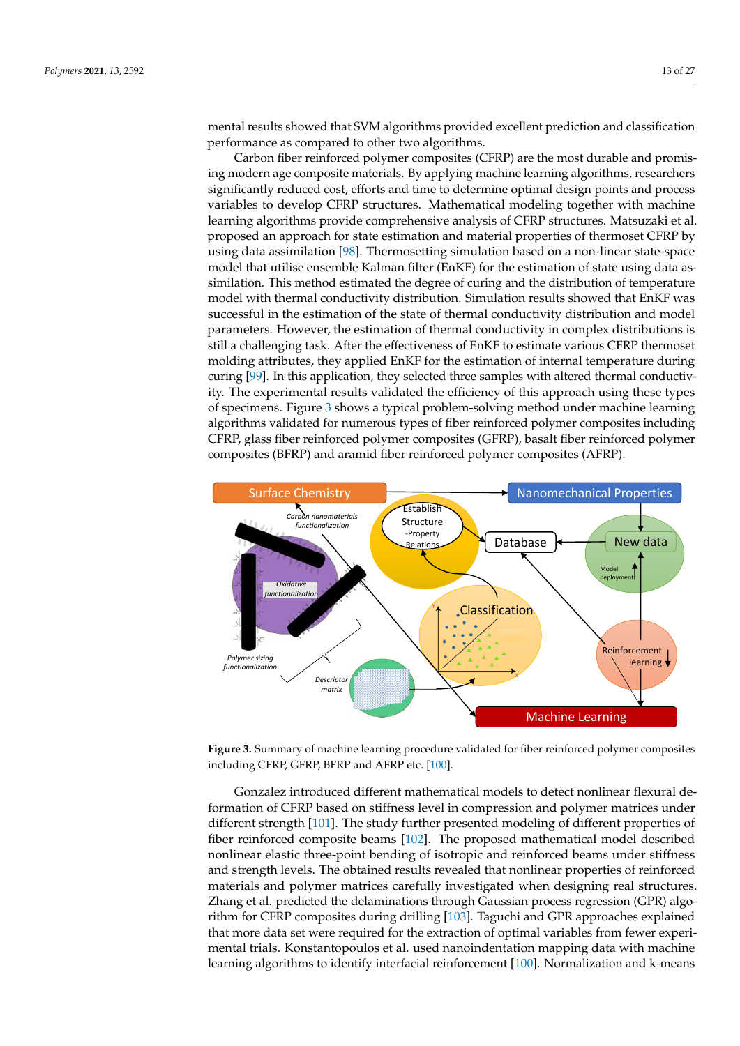mental results showed that SVM algorithms provided excellent prediction and classification performance as compared to other two algorithms.

Carbon fiber reinforced polymer composites (CFRP) are the most durable and promising modern age composite materials. By applying machine learning algorithms, researchers significantly reduced cost, efforts and time to determine optimal design points and process variables to develop CFRP structures. Mathematical modeling together with machine learning algorithms provide comprehensive analysis of CFRP structures. Matsuzaki et al. proposed an approach for state estimation and material properties of thermoset CFRP by using data assimilation [\[98\]](#page-24-27). Thermosetting simulation based on a non-linear state-space model that utilise ensemble Kalman filter (EnKF) for the estimation of state using data assimilation. This method estimated the degree of curing and the distribution of temperature model with thermal conductivity distribution. Simulation results showed that EnKF was successful in the estimation of the state of thermal conductivity distribution and model parameters. However, the estimation of thermal conductivity in complex distributions is still a challenging task. After the effectiveness of EnKF to estimate various CFRP thermoset molding attributes, they applied EnKF for the estimation of internal temperature during curing [\[99\]](#page-25-0). In this application, they selected three samples with altered thermal conductivity. The experimental results validated the efficiency of this approach using these types of specimens. Figure [3](#page-12-0) shows a typical problem-solving method under machine learning algorithms validated for numerous types of fiber reinforced polymer composites including CFRP, glass fiber reinforced polymer composites (GFRP), basalt fiber reinforced polymer composites (BFRP) and aramid fiber reinforced polymer composites (AFRP).

<span id="page-12-0"></span>

**Figure 3.** Summary of machine learning procedure validated for fiber reinforced polymer composites including CFRP, GFRP, BFRP and AFRP etc. [\[100\]](#page-25-1).

Gonzalez introduced different mathematical models to detect nonlinear flexural deformation of CFRP based on stiffness level in compression and polymer matrices under different strength [\[101\]](#page-25-2). The study further presented modeling of different properties of fiber reinforced composite beams [\[102\]](#page-25-3). The proposed mathematical model described nonlinear elastic three-point bending of isotropic and reinforced beams under stiffness and strength levels. The obtained results revealed that nonlinear properties of reinforced materials and polymer matrices carefully investigated when designing real structures. Zhang et al. predicted the delaminations through Gaussian process regression (GPR) algorithm for CFRP composites during drilling [\[103\]](#page-25-4). Taguchi and GPR approaches explained that more data set were required for the extraction of optimal variables from fewer experimental trials. Konstantopoulos et al. used nanoindentation mapping data with machine learning algorithms to identify interfacial reinforcement [\[100\]](#page-25-1). Normalization and k-means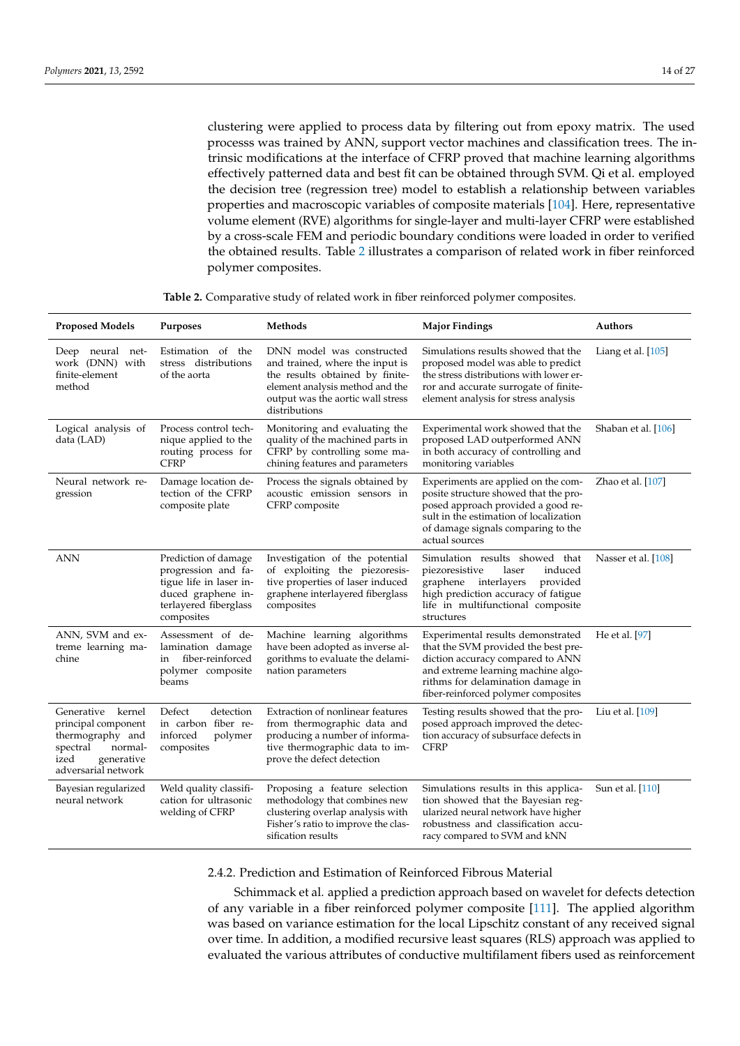clustering were applied to process data by filtering out from epoxy matrix. The used processs was trained by ANN, support vector machines and classification trees. The intrinsic modifications at the interface of CFRP proved that machine learning algorithms effectively patterned data and best fit can be obtained through SVM. Qi et al. employed the decision tree (regression tree) model to establish a relationship between variables properties and macroscopic variables of composite materials [\[104\]](#page-25-5). Here, representative volume element (RVE) algorithms for single-layer and multi-layer CFRP were established by a cross-scale FEM and periodic boundary conditions were loaded in order to verified the obtained results. Table [2](#page-13-0) illustrates a comparison of related work in fiber reinforced polymer composites.

|  |  | <b>Table 2.</b> Comparative study of related work in fiber reinforced polymer composites. |
|--|--|-------------------------------------------------------------------------------------------|
|  |  |                                                                                           |

<span id="page-13-0"></span>

| <b>Proposed Models</b>                                                                                                              | Purposes                                                                                                                            | Methods                                                                                                                                                                                  | <b>Major Findings</b>                                                                                                                                                                                                          | Authors             |
|-------------------------------------------------------------------------------------------------------------------------------------|-------------------------------------------------------------------------------------------------------------------------------------|------------------------------------------------------------------------------------------------------------------------------------------------------------------------------------------|--------------------------------------------------------------------------------------------------------------------------------------------------------------------------------------------------------------------------------|---------------------|
| Deep neural net-<br>work (DNN) with<br>finite-element<br>method                                                                     | Estimation of the<br>stress distributions<br>of the aorta                                                                           | DNN model was constructed<br>and trained, where the input is<br>the results obtained by finite-<br>element analysis method and the<br>output was the aortic wall stress<br>distributions | Simulations results showed that the<br>proposed model was able to predict<br>the stress distributions with lower er-<br>ror and accurate surrogate of finite-<br>element analysis for stress analysis                          | Liang et al. [105]  |
| Logical analysis of<br>data (LAD)                                                                                                   | Process control tech-<br>nique applied to the<br>routing process for<br><b>CFRP</b>                                                 | Monitoring and evaluating the<br>quality of the machined parts in<br>CFRP by controlling some ma-<br>chining features and parameters                                                     | Experimental work showed that the<br>proposed LAD outperformed ANN<br>in both accuracy of controlling and<br>monitoring variables                                                                                              | Shaban et al. [106] |
| Neural network re-<br>gression                                                                                                      | Damage location de-<br>tection of the CFRP<br>composite plate                                                                       | Process the signals obtained by<br>acoustic emission sensors in<br>CFRP composite                                                                                                        | Experiments are applied on the com-<br>posite structure showed that the pro-<br>posed approach provided a good re-<br>sult in the estimation of localization<br>of damage signals comparing to the<br>actual sources           | Zhao et al. [107]   |
| <b>ANN</b>                                                                                                                          | Prediction of damage<br>progression and fa-<br>tigue life in laser in-<br>duced graphene in-<br>terlayered fiberglass<br>composites | Investigation of the potential<br>of exploiting the piezoresis-<br>tive properties of laser induced<br>graphene interlayered fiberglass<br>composites                                    | Simulation results showed that<br>piezoresistive<br>laser<br>induced<br>graphene<br>interlayers<br>provided<br>high prediction accuracy of fatigue<br>life in multifunctional composite<br>structures                          | Nasser et al. [108] |
| ANN, SVM and ex-<br>treme learning ma-<br>chine                                                                                     | Assessment of de-<br>lamination damage<br>fiber-reinforced<br>in<br>polymer composite<br>beams                                      | Machine learning algorithms<br>have been adopted as inverse al-<br>gorithms to evaluate the delami-<br>nation parameters                                                                 | Experimental results demonstrated<br>that the SVM provided the best pre-<br>diction accuracy compared to ANN<br>and extreme learning machine algo-<br>rithms for delamination damage in<br>fiber-reinforced polymer composites | He et al. [97]      |
| Generative<br>kernel<br>principal component<br>thermography and<br>normal-<br>spectral<br>generative<br>ized<br>adversarial network | Defect<br>detection<br>in carbon fiber re-<br>inforced<br>polymer<br>composites                                                     | Extraction of nonlinear features<br>from thermographic data and<br>producing a number of informa-<br>tive thermographic data to im-<br>prove the defect detection                        | Testing results showed that the pro-<br>posed approach improved the detec-<br>tion accuracy of subsurface defects in<br><b>CFRP</b>                                                                                            | Liu et al. [109]    |
| Bayesian regularized<br>neural network                                                                                              | Weld quality classifi-<br>cation for ultrasonic<br>welding of CFRP                                                                  | Proposing a feature selection<br>methodology that combines new<br>clustering overlap analysis with<br>Fisher's ratio to improve the clas-<br>sification results                          | Simulations results in this applica-<br>tion showed that the Bayesian reg-<br>ularized neural network have higher<br>robustness and classification accu-<br>racy compared to SVM and kNN                                       | Sun et al. [110]    |

2.4.2. Prediction and Estimation of Reinforced Fibrous Material

Schimmack et al. applied a prediction approach based on wavelet for defects detection of any variable in a fiber reinforced polymer composite [\[111\]](#page-25-12). The applied algorithm was based on variance estimation for the local Lipschitz constant of any received signal over time. In addition, a modified recursive least squares (RLS) approach was applied to evaluated the various attributes of conductive multifilament fibers used as reinforcement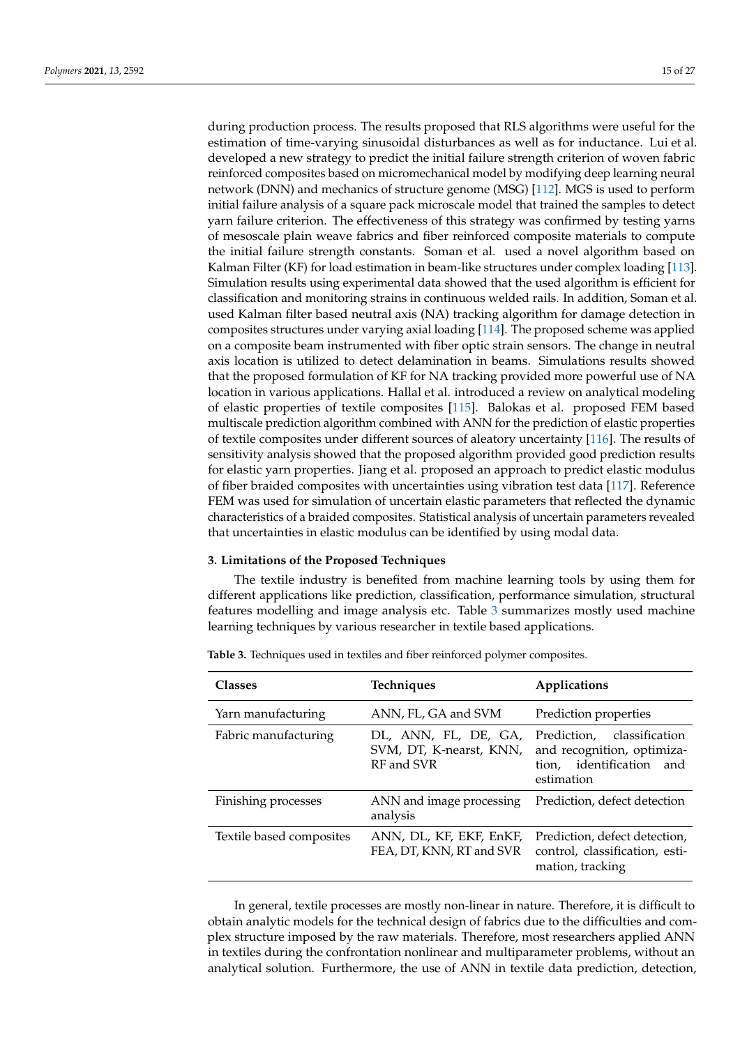during production process. The results proposed that RLS algorithms were useful for the estimation of time-varying sinusoidal disturbances as well as for inductance. Lui et al. developed a new strategy to predict the initial failure strength criterion of woven fabric reinforced composites based on micromechanical model by modifying deep learning neural network (DNN) and mechanics of structure genome (MSG) [\[112\]](#page-25-13). MGS is used to perform initial failure analysis of a square pack microscale model that trained the samples to detect yarn failure criterion. The effectiveness of this strategy was confirmed by testing yarns of mesoscale plain weave fabrics and fiber reinforced composite materials to compute the initial failure strength constants. Soman et al. used a novel algorithm based on Kalman Filter (KF) for load estimation in beam-like structures under complex loading [\[113\]](#page-25-14). Simulation results using experimental data showed that the used algorithm is efficient for classification and monitoring strains in continuous welded rails. In addition, Soman et al. used Kalman filter based neutral axis (NA) tracking algorithm for damage detection in composites structures under varying axial loading [\[114\]](#page-25-15). The proposed scheme was applied on a composite beam instrumented with fiber optic strain sensors. The change in neutral axis location is utilized to detect delamination in beams. Simulations results showed that the proposed formulation of KF for NA tracking provided more powerful use of NA location in various applications. Hallal et al. introduced a review on analytical modeling of elastic properties of textile composites [\[115\]](#page-25-16). Balokas et al. proposed FEM based multiscale prediction algorithm combined with ANN for the prediction of elastic properties of textile composites under different sources of aleatory uncertainty [\[116\]](#page-25-17). The results of sensitivity analysis showed that the proposed algorithm provided good prediction results for elastic yarn properties. Jiang et al. proposed an approach to predict elastic modulus of fiber braided composites with uncertainties using vibration test data [\[117\]](#page-25-18). Reference FEM was used for simulation of uncertain elastic parameters that reflected the dynamic characteristics of a braided composites. Statistical analysis of uncertain parameters revealed that uncertainties in elastic modulus can be identified by using modal data.

#### <span id="page-14-0"></span>**3. Limitations of the Proposed Techniques**

The textile industry is benefited from machine learning tools by using them for different applications like prediction, classification, performance simulation, structural features modelling and image analysis etc. Table [3](#page-14-1) summarizes mostly used machine learning techniques by various researcher in textile based applications.

| <b>Classes</b>           | Techniques                                                    | Applications                                                                                          |
|--------------------------|---------------------------------------------------------------|-------------------------------------------------------------------------------------------------------|
| Yarn manufacturing       | ANN, FL, GA and SVM                                           | Prediction properties                                                                                 |
| Fabric manufacturing     | DL, ANN, FL, DE, GA,<br>SVM, DT, K-nearst, KNN,<br>RF and SVR | Prediction,<br>classification<br>and recognition, optimiza-<br>tion, identification and<br>estimation |
| Finishing processes      | ANN and image processing<br>analysis                          | Prediction, defect detection                                                                          |
| Textile based composites | ANN, DL, KF, EKF, EnKF,<br>FEA, DT, KNN, RT and SVR           | Prediction, defect detection,<br>control, classification, esti-<br>mation, tracking                   |

<span id="page-14-1"></span>**Table 3.** Techniques used in textiles and fiber reinforced polymer composites.

In general, textile processes are mostly non-linear in nature. Therefore, it is difficult to obtain analytic models for the technical design of fabrics due to the difficulties and complex structure imposed by the raw materials. Therefore, most researchers applied ANN in textiles during the confrontation nonlinear and multiparameter problems, without an analytical solution. Furthermore, the use of ANN in textile data prediction, detection,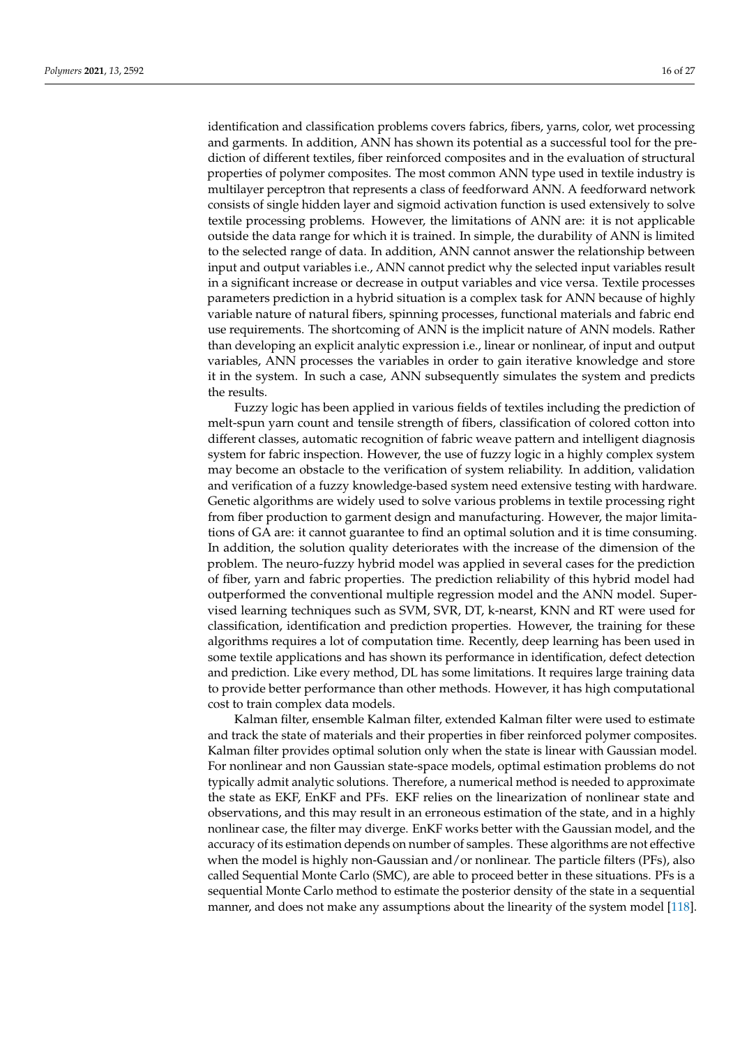identification and classification problems covers fabrics, fibers, yarns, color, wet processing and garments. In addition, ANN has shown its potential as a successful tool for the prediction of different textiles, fiber reinforced composites and in the evaluation of structural properties of polymer composites. The most common ANN type used in textile industry is multilayer perceptron that represents a class of feedforward ANN. A feedforward network consists of single hidden layer and sigmoid activation function is used extensively to solve textile processing problems. However, the limitations of ANN are: it is not applicable outside the data range for which it is trained. In simple, the durability of ANN is limited to the selected range of data. In addition, ANN cannot answer the relationship between input and output variables i.e., ANN cannot predict why the selected input variables result in a significant increase or decrease in output variables and vice versa. Textile processes parameters prediction in a hybrid situation is a complex task for ANN because of highly variable nature of natural fibers, spinning processes, functional materials and fabric end use requirements. The shortcoming of ANN is the implicit nature of ANN models. Rather than developing an explicit analytic expression i.e., linear or nonlinear, of input and output variables, ANN processes the variables in order to gain iterative knowledge and store it in the system. In such a case, ANN subsequently simulates the system and predicts the results.

Fuzzy logic has been applied in various fields of textiles including the prediction of melt-spun yarn count and tensile strength of fibers, classification of colored cotton into different classes, automatic recognition of fabric weave pattern and intelligent diagnosis system for fabric inspection. However, the use of fuzzy logic in a highly complex system may become an obstacle to the verification of system reliability. In addition, validation and verification of a fuzzy knowledge-based system need extensive testing with hardware. Genetic algorithms are widely used to solve various problems in textile processing right from fiber production to garment design and manufacturing. However, the major limitations of GA are: it cannot guarantee to find an optimal solution and it is time consuming. In addition, the solution quality deteriorates with the increase of the dimension of the problem. The neuro-fuzzy hybrid model was applied in several cases for the prediction of fiber, yarn and fabric properties. The prediction reliability of this hybrid model had outperformed the conventional multiple regression model and the ANN model. Supervised learning techniques such as SVM, SVR, DT, k-nearst, KNN and RT were used for classification, identification and prediction properties. However, the training for these algorithms requires a lot of computation time. Recently, deep learning has been used in some textile applications and has shown its performance in identification, defect detection and prediction. Like every method, DL has some limitations. It requires large training data to provide better performance than other methods. However, it has high computational cost to train complex data models.

Kalman filter, ensemble Kalman filter, extended Kalman filter were used to estimate and track the state of materials and their properties in fiber reinforced polymer composites. Kalman filter provides optimal solution only when the state is linear with Gaussian model. For nonlinear and non Gaussian state-space models, optimal estimation problems do not typically admit analytic solutions. Therefore, a numerical method is needed to approximate the state as EKF, EnKF and PFs. EKF relies on the linearization of nonlinear state and observations, and this may result in an erroneous estimation of the state, and in a highly nonlinear case, the filter may diverge. EnKF works better with the Gaussian model, and the accuracy of its estimation depends on number of samples. These algorithms are not effective when the model is highly non-Gaussian and/or nonlinear. The particle filters (PFs), also called Sequential Monte Carlo (SMC), are able to proceed better in these situations. PFs is a sequential Monte Carlo method to estimate the posterior density of the state in a sequential manner, and does not make any assumptions about the linearity of the system model [\[118\]](#page-25-19).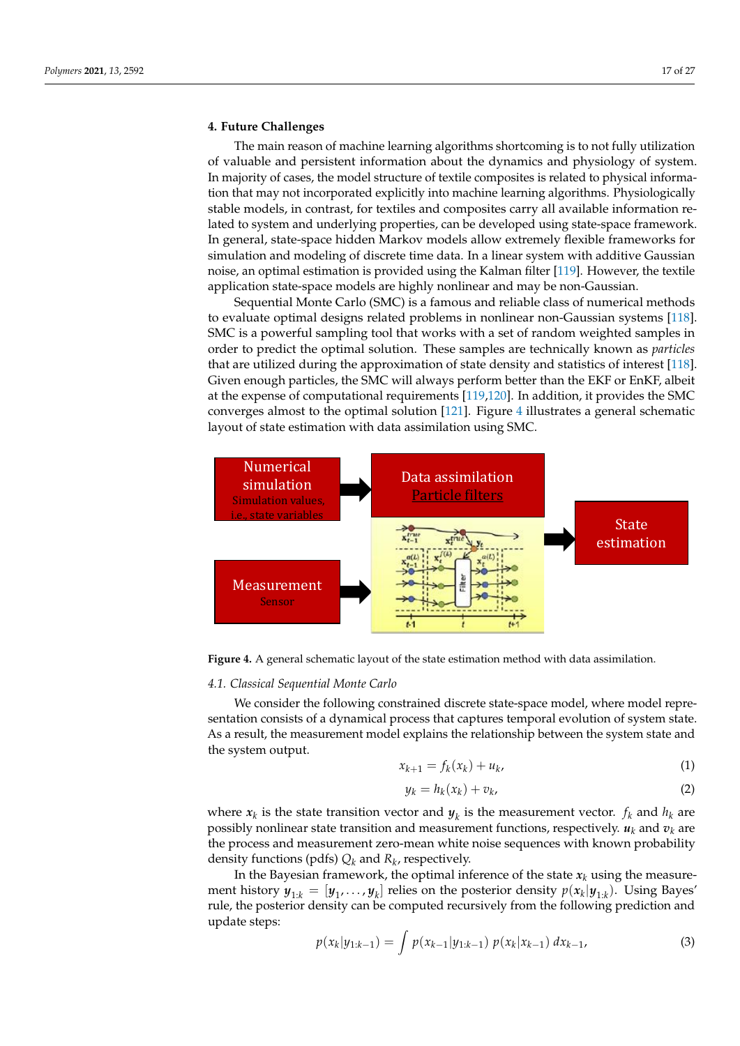# <span id="page-16-0"></span>**4. Future Challenges**

The main reason of machine learning algorithms shortcoming is to not fully utilization of valuable and persistent information about the dynamics and physiology of system. In majority of cases, the model structure of textile composites is related to physical information that may not incorporated explicitly into machine learning algorithms. Physiologically stable models, in contrast, for textiles and composites carry all available information related to system and underlying properties, can be developed using state-space framework. In general, state-space hidden Markov models allow extremely flexible frameworks for simulation and modeling of discrete time data. In a linear system with additive Gaussian noise, an optimal estimation is provided using the Kalman filter [\[119\]](#page-25-20). However, the textile application state-space models are highly nonlinear and may be non-Gaussian.

Sequential Monte Carlo (SMC) is a famous and reliable class of numerical methods to evaluate optimal designs related problems in nonlinear non-Gaussian systems [\[118\]](#page-25-19). SMC is a powerful sampling tool that works with a set of random weighted samples in order to predict the optimal solution. These samples are technically known as *particles* that are utilized during the approximation of state density and statistics of interest [\[118\]](#page-25-19). Given enough particles, the SMC will always perform better than the EKF or EnKF, albeit at the expense of computational requirements [\[119,](#page-25-20)[120\]](#page-25-21). In addition, it provides the SMC converges almost to the optimal solution [\[121\]](#page-25-22). Figure [4](#page-16-1) illustrates a general schematic layout of state estimation with data assimilation using SMC.

<span id="page-16-1"></span>

**Figure 4.** A general schematic layout of the state estimation method with data assimilation.

## *4.1. Classical Sequential Monte Carlo*

We consider the following constrained discrete state-space model, where model representation consists of a dynamical process that captures temporal evolution of system state. As a result, the measurement model explains the relationship between the system state and the system output.

<span id="page-16-3"></span>
$$
x_{k+1} = f_k(x_k) + u_k, \tag{1}
$$

$$
y_k = h_k(x_k) + v_k, \tag{2}
$$

where  $x_k$  is the state transition vector and  $y_k$  is the measurement vector.  $f_k$  and  $h_k$  are possibly nonlinear state transition and measurement functions, respectively.  $u_k$  and  $v_k$  are the process and measurement zero-mean white noise sequences with known probability density functions (pdfs) *Q<sup>k</sup>* and *R<sup>k</sup>* , respectively.

In the Bayesian framework, the optimal inference of the state  $x_k$  using the measurement history  $y_{1:k} = [y_1, \ldots, y_k]$  relies on the posterior density  $p(x_k|y_{1:k})$ . Using Bayes' rule, the posterior density can be computed recursively from the following prediction and update steps:

<span id="page-16-2"></span>
$$
p(x_k|y_{1:k-1}) = \int p(x_{k-1}|y_{1:k-1}) p(x_k|x_{k-1}) dx_{k-1}, \qquad (3)
$$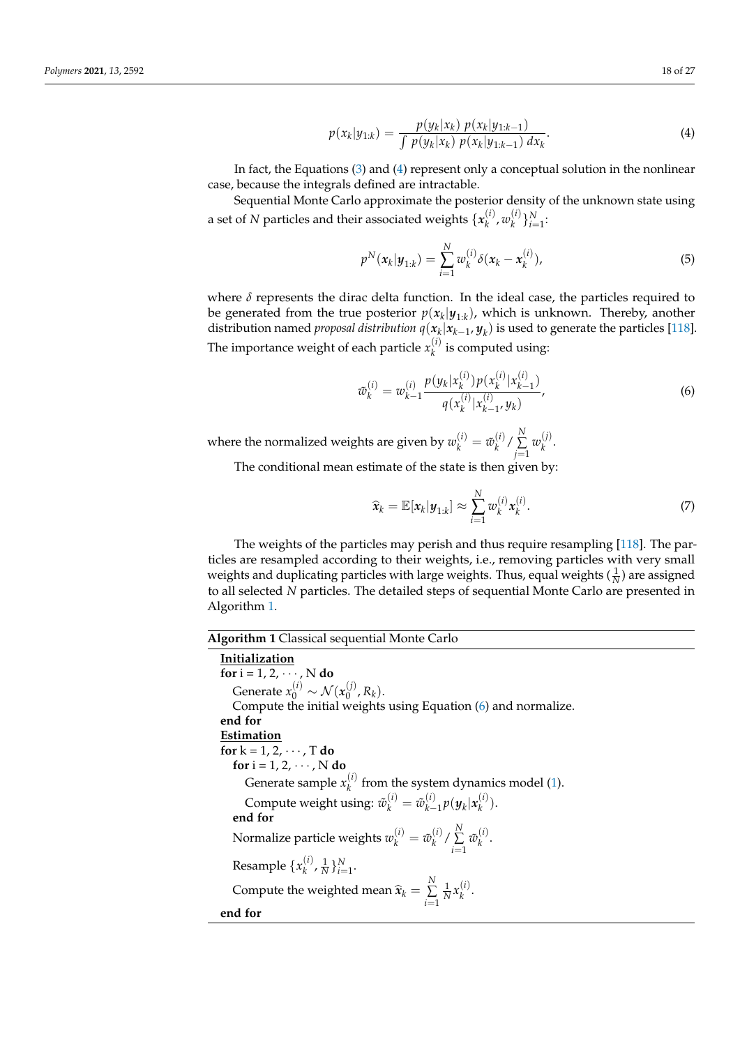<span id="page-17-0"></span>
$$
p(x_k|y_{1:k}) = \frac{p(y_k|x_k) \ p(x_k|y_{1:k-1})}{\int p(y_k|x_k) \ p(x_k|y_{1:k-1}) \ dx_k}.\tag{4}
$$

In fact, the Equations [\(3\)](#page-16-2) and [\(4\)](#page-17-0) represent only a conceptual solution in the nonlinear case, because the integrals defined are intractable.

Sequential Monte Carlo approximate the posterior density of the unknown state using a set of  $N$  particles and their associated weights  $\{x_k^{(i)}\}$  $\boldsymbol{w}_k^{(i)}$ ,  $\boldsymbol{w}_k^{(i)}$  ${k \choose k}$   $\}_{i=1}^N$ :

$$
p^{N}(\mathbf{x}_{k}|\mathbf{y}_{1:k}) = \sum_{i=1}^{N} w_{k}^{(i)} \delta(\mathbf{x}_{k} - \mathbf{x}_{k}^{(i)}),
$$
\n(5)

where  $\delta$  represents the dirac delta function. In the ideal case, the particles required to be generated from the true posterior  $p(x_k|y_{1:k})$ , which is unknown. Thereby, another distribution named *proposal distribution*  $q(x_k | x_{k-1}, y_k)$  *is used to generate the particles [\[118\]](#page-25-19)*. The importance weight of each particle  $x_k^{(i)}$  $\binom{v}{k}$  is computed using:

<span id="page-17-2"></span>
$$
\tilde{w}_{k}^{(i)} = w_{k-1}^{(i)} \frac{p(y_k | x_k^{(i)}) p(x_k^{(i)} | x_{k-1}^{(i)})}{q(x_k^{(i)} | x_{k-1}^{(i)}, y_k)},
$$
\n(6)

where the normalized weights are given by  $w_k^{(i)} = \tilde{w}_k^{(i)}$  $\binom{i}{k}$  /  $\sum_{i=1}^{N}$ *j*=1  $w_k^{(j)}$  $\frac{0}{k}$ .

The conditional mean estimate of the state is then given by:

$$
\widehat{\mathbf{x}}_k = \mathbb{E}[\mathbf{x}_k | \mathbf{y}_{1:k}] \approx \sum_{i=1}^N w_k^{(i)} \mathbf{x}_k^{(i)}.
$$
 (7)

The weights of the particles may perish and thus require resampling [\[118\]](#page-25-19). The particles are resampled according to their weights, i.e., removing particles with very small weights and duplicating particles with large weights. Thus, equal weights  $(\frac{1}{N})$  are assigned to all selected *N* particles. The detailed steps of sequential Monte Carlo are presented in Algorithm [1.](#page-17-1)

# <span id="page-17-1"></span>**Algorithm 1** Classical sequential Monte Carlo

**Initialization for** i = 1, 2, · · · , N **do** Generate  $x_0^{(i)} \sim \mathcal{N}(x_0^{(j)})$  $_{0}^{\prime\prime}$ ,  $R_{k}$ ). Compute the initial weights using Equation [\(6\)](#page-17-2) and normalize. **end for Estimation for**  $k = 1, 2, \cdots, T$  **do for**  $i = 1, 2, \cdots, N$  **do** Generate sample  $x_k^{(i)}$  $k<sup>(t)</sup>$  from the system dynamics model [\(1\)](#page-16-3). Compute weight using:  $\tilde{w}_k^{(i)} = \tilde{w}_{k-1}^{(i)}$  $\sum_{k=1}^{(i)} p(\boldsymbol{y}_k | \boldsymbol{x}_k^{(i)})$  $_{k}^{(i)}$ ). **end for** Normalize particle weights  $w_k^{(i)} = \tilde{w}_k^{(i)}$  $\binom{i}{k}$  /  $\sum_{i=1}^{N}$ *i*=1  $\tilde{w}_k^{(i)}$ *k* . Resample  $\{x_k^{(i)}\}$  ${k \choose k}$ ,  $\frac{1}{N}$   $\}$ <sub>i=1</sub>. Compute the weighted mean  $\widehat{\mathbf{x}}_k = \sum_{i=1}^N$ *i*=1  $\frac{1}{N}x_k^{(i)}$ *k* . **end for**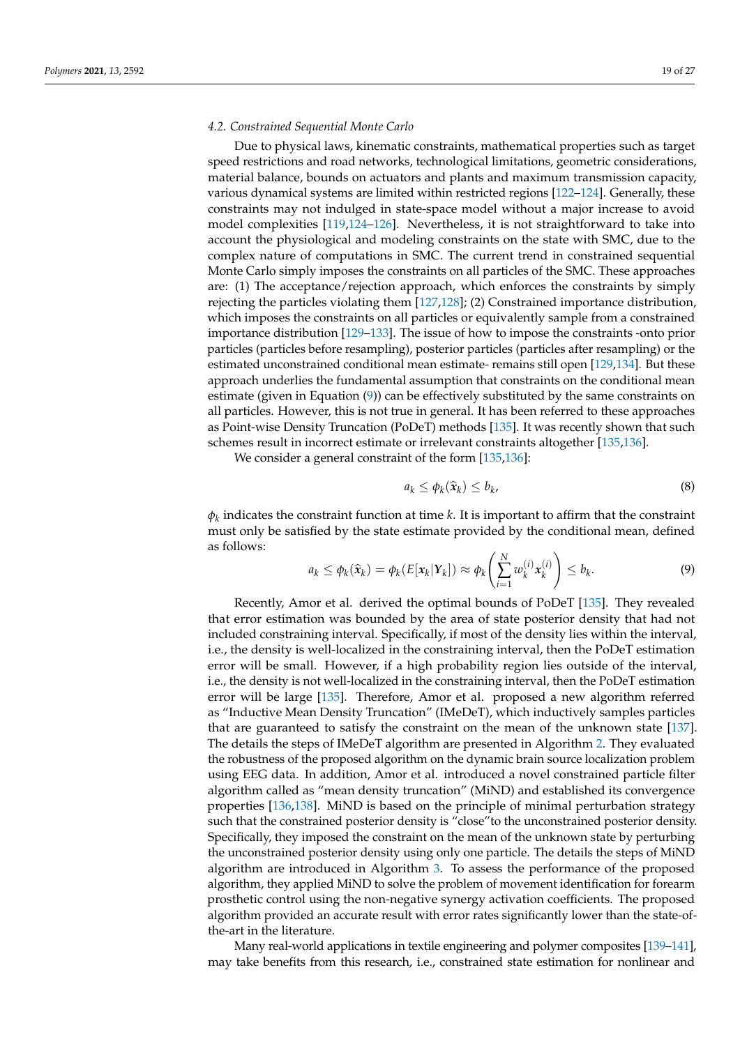#### *4.2. Constrained Sequential Monte Carlo*

Due to physical laws, kinematic constraints, mathematical properties such as target speed restrictions and road networks, technological limitations, geometric considerations, material balance, bounds on actuators and plants and maximum transmission capacity, various dynamical systems are limited within restricted regions [\[122](#page-25-23)[–124\]](#page-25-24). Generally, these constraints may not indulged in state-space model without a major increase to avoid model complexities [\[119,](#page-25-20)[124–](#page-25-24)[126\]](#page-25-25). Nevertheless, it is not straightforward to take into account the physiological and modeling constraints on the state with SMC, due to the complex nature of computations in SMC. The current trend in constrained sequential Monte Carlo simply imposes the constraints on all particles of the SMC. These approaches are: (1) The acceptance/rejection approach, which enforces the constraints by simply rejecting the particles violating them [\[127](#page-25-26)[,128\]](#page-25-27); (2) Constrained importance distribution, which imposes the constraints on all particles or equivalently sample from a constrained importance distribution [\[129–](#page-26-0)[133\]](#page-26-1). The issue of how to impose the constraints -onto prior particles (particles before resampling), posterior particles (particles after resampling) or the estimated unconstrained conditional mean estimate- remains still open [\[129](#page-26-0)[,134\]](#page-26-2). But these approach underlies the fundamental assumption that constraints on the conditional mean estimate (given in Equation [\(9\)](#page-18-0)) can be effectively substituted by the same constraints on all particles. However, this is not true in general. It has been referred to these approaches as Point-wise Density Truncation (PoDeT) methods [\[135\]](#page-26-3). It was recently shown that such schemes result in incorrect estimate or irrelevant constraints altogether [\[135,](#page-26-3)[136\]](#page-26-4).

We consider a general constraint of the form [\[135](#page-26-3)[,136\]](#page-26-4):

$$
a_k \le \phi_k(\widehat{\mathbf{x}}_k) \le b_k,\tag{8}
$$

 $\phi_k$  indicates the constraint function at time *k*. It is important to affirm that the constraint must only be satisfied by the state estimate provided by the conditional mean, defined as follows:

<span id="page-18-0"></span>
$$
a_k \leq \phi_k(\widehat{\mathbf{x}}_k) = \phi_k(E[\mathbf{x}_k|\mathbf{Y}_k]) \approx \phi_k\left(\sum_{i=1}^N w_k^{(i)} \mathbf{x}_k^{(i)}\right) \leq b_k. \tag{9}
$$

Recently, Amor et al. derived the optimal bounds of PoDeT [\[135\]](#page-26-3). They revealed that error estimation was bounded by the area of state posterior density that had not included constraining interval. Specifically, if most of the density lies within the interval, i.e., the density is well-localized in the constraining interval, then the PoDeT estimation error will be small. However, if a high probability region lies outside of the interval, i.e., the density is not well-localized in the constraining interval, then the PoDeT estimation error will be large [\[135\]](#page-26-3). Therefore, Amor et al. proposed a new algorithm referred as "Inductive Mean Density Truncation" (IMeDeT), which inductively samples particles that are guaranteed to satisfy the constraint on the mean of the unknown state [\[137\]](#page-26-5). The details the steps of IMeDeT algorithm are presented in Algorithm [2.](#page-19-0) They evaluated the robustness of the proposed algorithm on the dynamic brain source localization problem using EEG data. In addition, Amor et al. introduced a novel constrained particle filter algorithm called as "mean density truncation" (MiND) and established its convergence properties [\[136](#page-26-4)[,138\]](#page-26-6). MiND is based on the principle of minimal perturbation strategy such that the constrained posterior density is "close"to the unconstrained posterior density. Specifically, they imposed the constraint on the mean of the unknown state by perturbing the unconstrained posterior density using only one particle. The details the steps of MiND algorithm are introduced in Algorithm [3.](#page-20-1) To assess the performance of the proposed algorithm, they applied MiND to solve the problem of movement identification for forearm prosthetic control using the non-negative synergy activation coefficients. The proposed algorithm provided an accurate result with error rates significantly lower than the state-ofthe-art in the literature.

Many real-world applications in textile engineering and polymer composites [\[139](#page-26-7)[–141\]](#page-26-8), may take benefits from this research, i.e., constrained state estimation for nonlinear and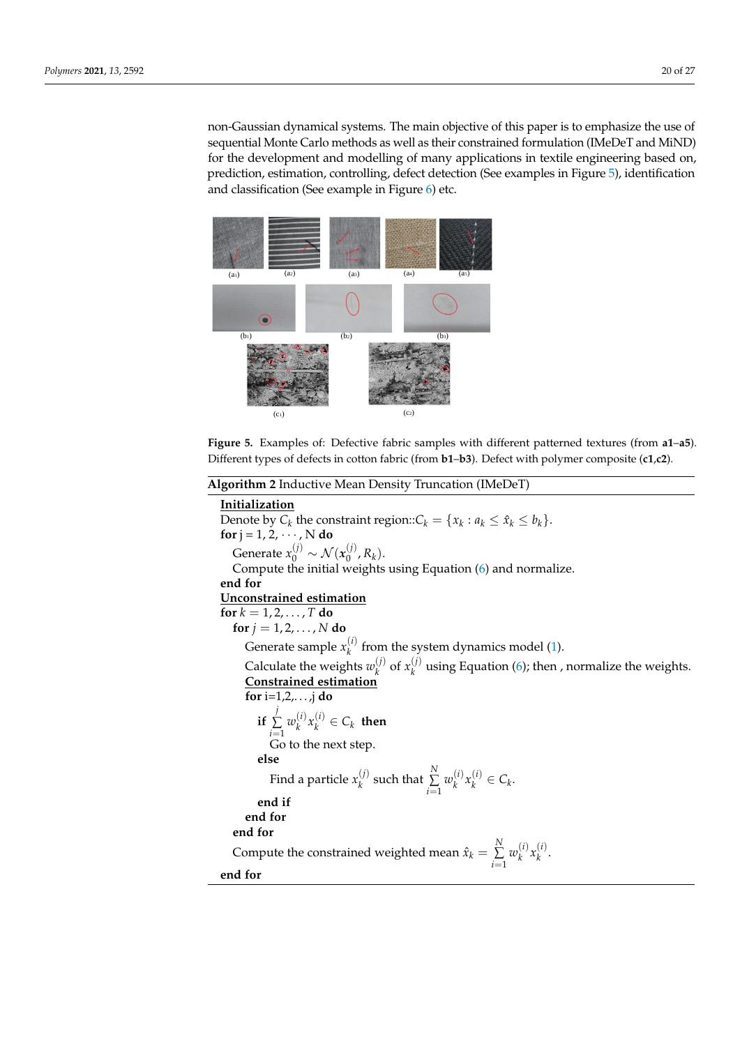non-Gaussian dynamical systems. The main objective of this paper is to emphasize the use of sequential Monte Carlo methods as well as their constrained formulation (IMeDeT and MiND) for the development and modelling of many applications in textile engineering based on, prediction, estimation, controlling, defect detection (See examples in Figure [5\)](#page-19-1), identification and classification (See example in Figure [6\)](#page-20-2) etc.

<span id="page-19-1"></span>

**Figure 5.** Examples of: Defective fabric samples with different patterned textures (from **a1**–**a5**). Different types of defects in cotton fabric (from **b1**–**b3**). Defect with polymer composite (**c1**,**c2**).

<span id="page-19-0"></span>

| <b>Algorithm 2</b> Inductive Mean Density Truncation (IMeDeT)                                      |
|----------------------------------------------------------------------------------------------------|
| Initialization                                                                                     |
| Denote by $C_k$ the constraint region:: $C_k = \{x_k : a_k \le \hat{x}_k \le b_k\}.$               |
| for $j = 1, 2, \dots, N$ do                                                                        |
| Generate $x_0^{(j)} \sim \mathcal{N}(x_0^{(j)}, R_k)$ .                                            |
| Compute the initial weights using Equation (6) and normalize.                                      |
| end for                                                                                            |
| Unconstrained estimation                                                                           |
| for $k = 1, 2, , T$ do                                                                             |
| for $j = 1, 2, , N$ do                                                                             |
| Generate sample $x_k^{(i)}$ from the system dynamics model (1).                                    |
| Calculate the weights $w_k^{(j)}$ of $x_k^{(j)}$ using Equation (6); then , normalize the weights. |
| <b>Constrained estimation</b>                                                                      |
| for $i=1,2,,j$ do                                                                                  |
| if $\sum_{k=1}^{j} w_k^{(i)} x_k^{(i)} \in C_k$ then                                               |
| Go to the next step.                                                                               |
| else                                                                                               |
| Find a particle $x_k^{(j)}$ such that $\sum_{i=1}^N w_k^{(i)} x_k^{(i)} \in C_k$ .                 |
| end if                                                                                             |
| end for                                                                                            |
| end for                                                                                            |
| Compute the constrained weighted mean $\hat{x}_k = \sum_{i=1}^{N} w_k^{(i)} x_k^{(i)}$ .           |
| end for                                                                                            |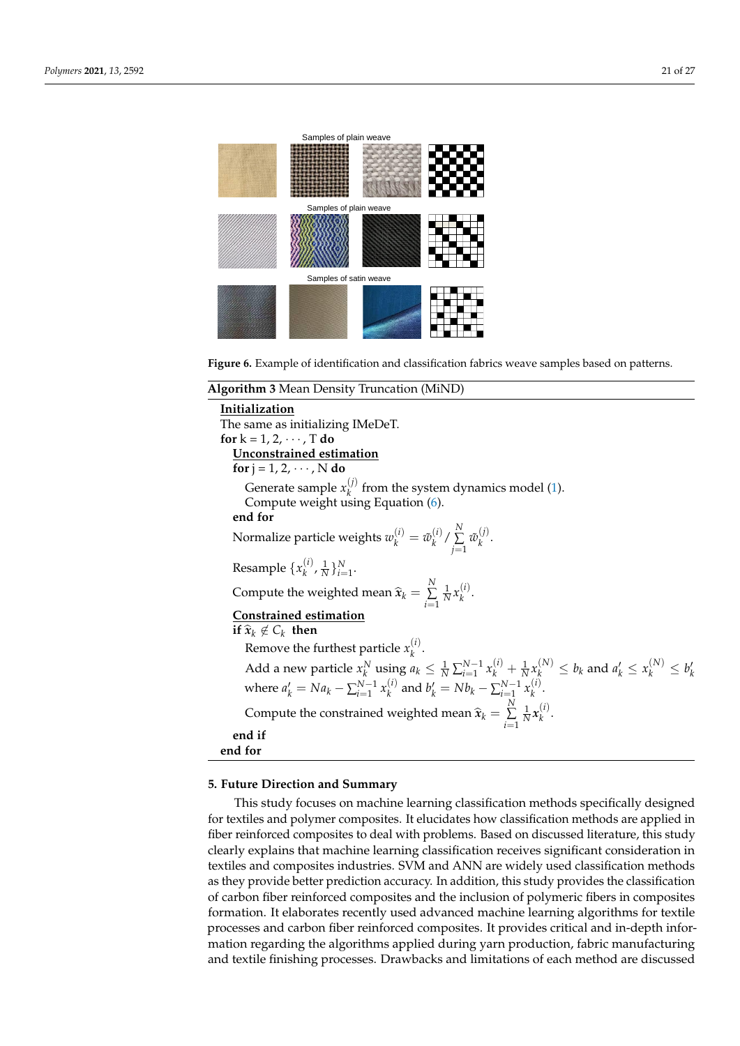<span id="page-20-2"></span>

**Figure 6.** Example of identification and classification fabrics weave samples based on patterns.

#### <span id="page-20-1"></span>**Algorithm 3** Mean Density Truncation (MiND)

**Initialization** The same as initializing IMeDeT. **for**  $k = 1, 2, \cdots, T$  **do Unconstrained estimation for**  $j = 1, 2, \cdots, N$  **do** Generate sample  $x_k^{(j)}$  $\frac{v}{k}$  from the system dynamics model [\(1\)](#page-16-3). Compute weight using Equation [\(6\)](#page-17-2). **end for** Normalize particle weights  $w_k^{(i)} = \tilde{w}_k^{(i)}$  $\binom{i}{k}$  /  $\sum_{i=1}^{N}$ *j*=1  $\tilde{w}_k^{(j)}$  $\frac{V}{k}$ . Resample  $\{x_k^{(i)}\}$  ${k \choose k}$ ,  $\frac{1}{N}$   $\}_{i=1}^{N}$ . Compute the weighted mean  $\widehat{\mathbf{x}}_k = \sum_{i=1}^N$ *i*=1  $\frac{1}{N}x_k^{(i)}$ *k* . **Constrained estimation if**  $\hat{\mathbf{x}}_k \notin C_k$  **then** Remove the furthest particle  $x_k^{(i)}$ . *k* Add a new particle  $x_k^N$  using  $a_k \leq \frac{1}{N} \sum_{i=1}^{N-1} x_k^{(i)} + \frac{1}{N} x_k^{(N)} \leq b_k$  and  $a'_k \leq x_k^{(N)} \leq b'_k$ where  $a'_k = Na_k - \sum_{i=1}^{N-1} x_k^{(i)}$  $b_k^{(i)}$  and  $b_k' = Nb_k - \sum_{i=1}^{N-1} x_k^{(i)}$ *k* . Compute the constrained weighted mean  $\widehat{\mathbf{x}}_k = \sum_{i=1}^N$ *i*=1  $\frac{1}{N}x_k^{(i)}$ *k* . **end if end for**

# <span id="page-20-0"></span>**5. Future Direction and Summary**

This study focuses on machine learning classification methods specifically designed for textiles and polymer composites. It elucidates how classification methods are applied in fiber reinforced composites to deal with problems. Based on discussed literature, this study clearly explains that machine learning classification receives significant consideration in textiles and composites industries. SVM and ANN are widely used classification methods as they provide better prediction accuracy. In addition, this study provides the classification of carbon fiber reinforced composites and the inclusion of polymeric fibers in composites formation. It elaborates recently used advanced machine learning algorithms for textile processes and carbon fiber reinforced composites. It provides critical and in-depth information regarding the algorithms applied during yarn production, fabric manufacturing and textile finishing processes. Drawbacks and limitations of each method are discussed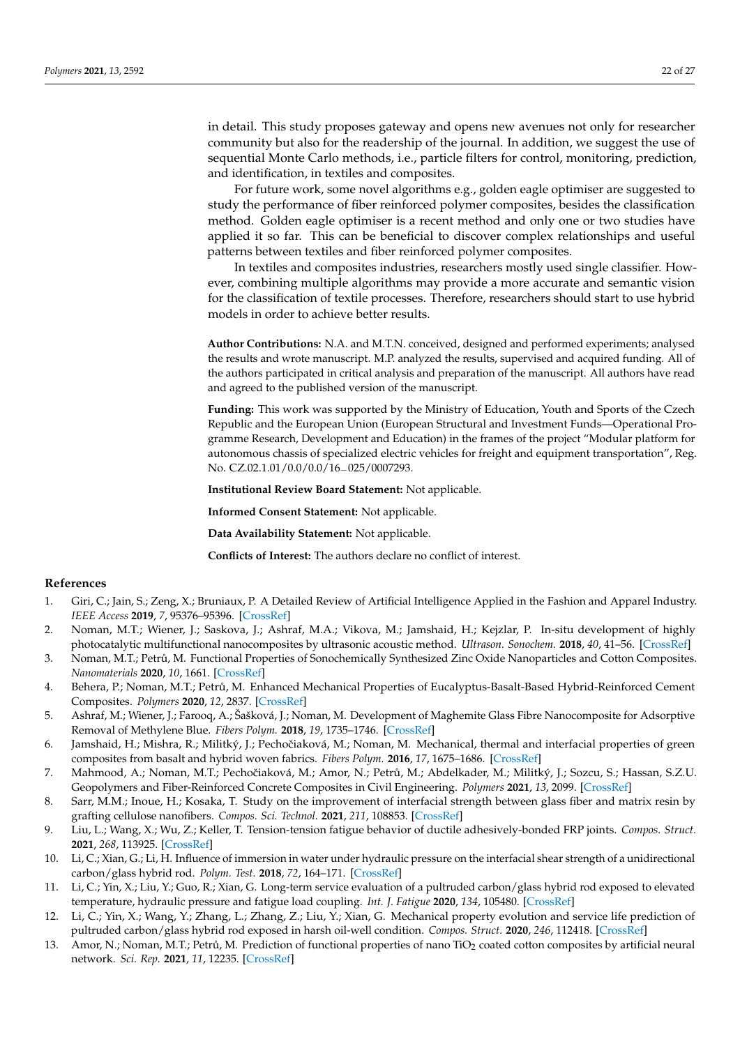in detail. This study proposes gateway and opens new avenues not only for researcher community but also for the readership of the journal. In addition, we suggest the use of sequential Monte Carlo methods, i.e., particle filters for control, monitoring, prediction, and identification, in textiles and composites.

For future work, some novel algorithms e.g., golden eagle optimiser are suggested to study the performance of fiber reinforced polymer composites, besides the classification method. Golden eagle optimiser is a recent method and only one or two studies have applied it so far. This can be beneficial to discover complex relationships and useful patterns between textiles and fiber reinforced polymer composites.

In textiles and composites industries, researchers mostly used single classifier. However, combining multiple algorithms may provide a more accurate and semantic vision for the classification of textile processes. Therefore, researchers should start to use hybrid models in order to achieve better results.

**Author Contributions:** N.A. and M.T.N. conceived, designed and performed experiments; analysed the results and wrote manuscript. M.P. analyzed the results, supervised and acquired funding. All of the authors participated in critical analysis and preparation of the manuscript. All authors have read and agreed to the published version of the manuscript.

**Funding:** This work was supported by the Ministry of Education, Youth and Sports of the Czech Republic and the European Union (European Structural and Investment Funds—Operational Programme Research, Development and Education) in the frames of the project "Modular platform for autonomous chassis of specialized electric vehicles for freight and equipment transportation", Reg. No. CZ.02.1.01/0.0/0.0/16\_025/0007293.

**Institutional Review Board Statement:** Not applicable.

**Informed Consent Statement:** Not applicable.

**Data Availability Statement:** Not applicable.

**Conflicts of Interest:** The authors declare no conflict of interest.

# **References**

- <span id="page-21-0"></span>1. Giri, C.; Jain, S.; Zeng, X.; Bruniaux, P. A Detailed Review of Artificial Intelligence Applied in the Fashion and Apparel Industry. *IEEE Access* **2019**, *7*, 95376–95396. [\[CrossRef\]](http://doi.org/10.1109/ACCESS.2019.2928979)
- <span id="page-21-1"></span>2. Noman, M.T.; Wiener, J.; Saskova, J.; Ashraf, M.A.; Vikova, M.; Jamshaid, H.; Kejzlar, P. In-situ development of highly photocatalytic multifunctional nanocomposites by ultrasonic acoustic method. *Ultrason. Sonochem.* **2018**, *40*, 41–56. [\[CrossRef\]](http://dx.doi.org/10.1016/j.ultsonch.2017.06.026)
- 3. Noman, M.T.; Petrů, M. Functional Properties of Sonochemically Synthesized Zinc Oxide Nanoparticles and Cotton Composites. *Nanomaterials* **2020**, *10*, 1661. [\[CrossRef\]](http://dx.doi.org/10.3390/nano10091661)
- 4. Behera, P.; Noman, M.T.; Petrů, M. Enhanced Mechanical Properties of Eucalyptus-Basalt-Based Hybrid-Reinforced Cement Composites. *Polymers* **2020**, *12*, 2837. [\[CrossRef\]](http://dx.doi.org/10.3390/polym12122837)
- 5. Ashraf, M.; Wiener, J.; Farooq, A.; Šašková, J.; Noman, M. Development of Maghemite Glass Fibre Nanocomposite for Adsorptive Removal of Methylene Blue. *Fibers Polym.* **2018**, *19*, 1735–1746. [\[CrossRef\]](http://dx.doi.org/10.1007/s12221-018-8264-2)
- <span id="page-21-2"></span>6. Jamshaid, H.; Mishra, R.; Militký, J.; Pechočiaková, M.; Noman, M. Mechanical, thermal and interfacial properties of green composites from basalt and hybrid woven fabrics. *Fibers Polym.* **2016**, *17*, 1675–1686. [\[CrossRef\]](http://dx.doi.org/10.1007/s12221-016-6563-z)
- <span id="page-21-3"></span>7. Mahmood, A.; Noman, M.T.; Pechočiaková, M.; Amor, N.; Petrů, M.; Abdelkader, M.; Militký, J.; Sozcu, S.; Hassan, S.Z.U. Geopolymers and Fiber-Reinforced Concrete Composites in Civil Engineering. *Polymers* **2021**, *13*, 2099. [\[CrossRef\]](http://dx.doi.org/10.3390/polym13132099)
- <span id="page-21-4"></span>8. Sarr, M.M.; Inoue, H.; Kosaka, T. Study on the improvement of interfacial strength between glass fiber and matrix resin by grafting cellulose nanofibers. *Compos. Sci. Technol.* **2021**, *211*, 108853. [\[CrossRef\]](http://dx.doi.org/10.1016/j.compscitech.2021.108853)
- <span id="page-21-5"></span>9. Liu, L.; Wang, X.; Wu, Z.; Keller, T. Tension-tension fatigue behavior of ductile adhesively-bonded FRP joints. *Compos. Struct.* **2021**, *268*, 113925. [\[CrossRef\]](http://dx.doi.org/10.1016/j.compstruct.2021.113925)
- <span id="page-21-6"></span>10. Li, C.; Xian, G.; Li, H. Influence of immersion in water under hydraulic pressure on the interfacial shear strength of a unidirectional carbon/glass hybrid rod. *Polym. Test.* **2018**, *72*, 164–171. [\[CrossRef\]](http://dx.doi.org/10.1016/j.polymertesting.2018.10.004)
- <span id="page-21-7"></span>11. Li, C.; Yin, X.; Liu, Y.; Guo, R.; Xian, G. Long-term service evaluation of a pultruded carbon/glass hybrid rod exposed to elevated temperature, hydraulic pressure and fatigue load coupling. *Int. J. Fatigue* **2020**, *134*, 105480. [\[CrossRef\]](http://dx.doi.org/10.1016/j.ijfatigue.2020.105480)
- <span id="page-21-8"></span>12. Li, C.; Yin, X.; Wang, Y.; Zhang, L.; Zhang, Z.; Liu, Y.; Xian, G. Mechanical property evolution and service life prediction of pultruded carbon/glass hybrid rod exposed in harsh oil-well condition. *Compos. Struct.* **2020**, *246*, 112418. [\[CrossRef\]](http://dx.doi.org/10.1016/j.compstruct.2020.112418)
- <span id="page-21-9"></span>13. Amor, N.; Noman, M.T.; Petrů, M. Prediction of functional properties of nano TiO<sub>2</sub> coated cotton composites by artificial neural network. *Sci. Rep.* **2021**, *11*, 12235. [\[CrossRef\]](http://dx.doi.org/10.1038/s41598-021-91733-y)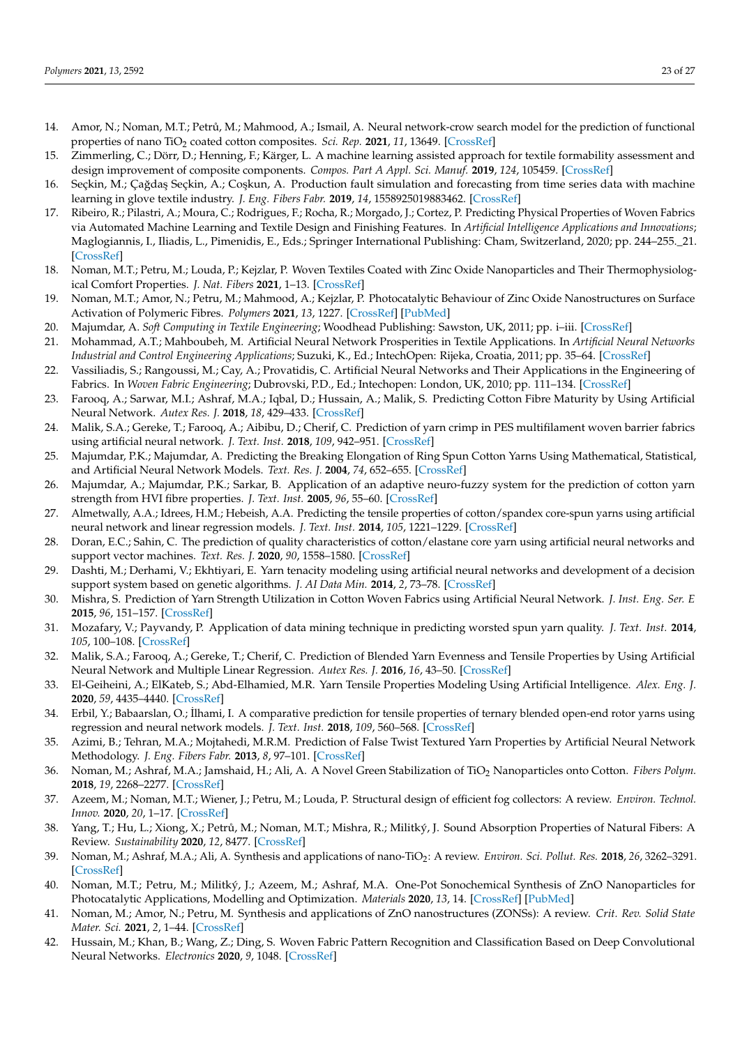- <span id="page-22-0"></span>14. Amor, N.; Noman, M.T.; Petrů, M.; Mahmood, A.; Ismail, A. Neural network-crow search model for the prediction of functional properties of nano TiO<sub>2</sub> coated cotton composites. *Sci. Rep.* 2021, 11, 13649. [\[CrossRef\]](http://dx.doi.org/10.1038/s41598-021-93108-9)
- <span id="page-22-1"></span>15. Zimmerling, C.; Dörr, D.; Henning, F.; Kärger, L. A machine learning assisted approach for textile formability assessment and design improvement of composite components. *Compos. Part A Appl. Sci. Manuf.* **2019**, *124*, 105459. [\[CrossRef\]](http://dx.doi.org/10.1016/j.compositesa.2019.05.027)
- <span id="page-22-2"></span>16. Seçkin, M.; Çağdaş Seçkin, A.; Coşkun, A. Production fault simulation and forecasting from time series data with machine learning in glove textile industry. *J. Eng. Fibers Fabr.* **2019**, *14*, 1558925019883462. [\[CrossRef\]](http://dx.doi.org/10.1177/1558925019883462)
- <span id="page-22-3"></span>17. Ribeiro, R.; Pilastri, A.; Moura, C.; Rodrigues, F.; Rocha, R.; Morgado, J.; Cortez, P. Predicting Physical Properties of Woven Fabrics via Automated Machine Learning and Textile Design and Finishing Features. In *Artificial Intelligence Applications and Innovations*; Maglogiannis, I., Iliadis, L., Pimenidis, E., Eds.; Springer International Publishing: Cham, Switzerland, 2020; pp. 244–255.\_21. [\[CrossRef\]](http://dx.doi.org/10.1007/978-3-030-49186-4_21)
- <span id="page-22-4"></span>18. Noman, M.T.; Petru, M.; Louda, P.; Kejzlar, P. Woven Textiles Coated with Zinc Oxide Nanoparticles and Their Thermophysiological Comfort Properties. *J. Nat. Fibers* **2021**, 1–13. [\[CrossRef\]](http://dx.doi.org/10.1080/15440478.2020.1870621)
- <span id="page-22-5"></span>19. Noman, M.T.; Amor, N.; Petru, M.; Mahmood, A.; Kejzlar, P. Photocatalytic Behaviour of Zinc Oxide Nanostructures on Surface Activation of Polymeric Fibres. *Polymers* **2021**, *13*, 1227. [\[CrossRef\]](http://dx.doi.org/10.3390/polym13081227) [\[PubMed\]](http://www.ncbi.nlm.nih.gov/pubmed/33920272)
- <span id="page-22-6"></span>20. Majumdar, A. *Soft Computing in Textile Engineering*; Woodhead Publishing: Sawston, UK, 2011; pp. i–iii. [\[CrossRef\]](http://dx.doi.org/10.1533/9780857090812)
- <span id="page-22-7"></span>21. Mohammad, A.T.; Mahboubeh, M. Artificial Neural Network Prosperities in Textile Applications. In *Artificial Neural Networks Industrial and Control Engineering Applications*; Suzuki, K., Ed.; IntechOpen: Rijeka, Croatia, 2011; pp. 35–64. [\[CrossRef\]](http://dx.doi.org/10.5772/16095)
- <span id="page-22-8"></span>22. Vassiliadis, S.; Rangoussi, M.; Cay, A.; Provatidis, C. Artificial Neural Networks and Their Applications in the Engineering of Fabrics. In *Woven Fabric Engineering*; Dubrovski, P.D., Ed.; Intechopen: London, UK, 2010; pp. 111–134. [\[CrossRef\]](http://dx.doi.org/10.5772/10475)
- <span id="page-22-9"></span>23. Farooq, A.; Sarwar, M.I.; Ashraf, M.A.; Iqbal, D.; Hussain, A.; Malik, S. Predicting Cotton Fibre Maturity by Using Artificial Neural Network. *Autex Res. J.* **2018**, *18*, 429–433. [\[CrossRef\]](http://dx.doi.org/10.1515/aut-2018-0024)
- <span id="page-22-10"></span>24. Malik, S.A.; Gereke, T.; Farooq, A.; Aibibu, D.; Cherif, C. Prediction of yarn crimp in PES multifilament woven barrier fabrics using artificial neural network. *J. Text. Inst.* **2018**, *109*, 942–951. [\[CrossRef\]](http://dx.doi.org/10.1080/00405000.2017.1393786)
- <span id="page-22-11"></span>25. Majumdar, P.K.; Majumdar, A. Predicting the Breaking Elongation of Ring Spun Cotton Yarns Using Mathematical, Statistical, and Artificial Neural Network Models. *Text. Res. J.* **2004**, *74*, 652–655. [\[CrossRef\]](http://dx.doi.org/10.1177/004051750407400717)
- <span id="page-22-12"></span>26. Majumdar, A.; Majumdar, P.K.; Sarkar, B. Application of an adaptive neuro-fuzzy system for the prediction of cotton yarn strength from HVI fibre properties. *J. Text. Inst.* **2005**, *96*, 55–60. [\[CrossRef\]](http://dx.doi.org/10.1533/joti.2004.0062)
- <span id="page-22-13"></span>27. Almetwally, A.A.; Idrees, H.M.; Hebeish, A.A. Predicting the tensile properties of cotton/spandex core-spun yarns using artificial neural network and linear regression models. *J. Text. Inst.* **2014**, *105*, 1221–1229. [\[CrossRef\]](http://dx.doi.org/10.1080/00405000.2014.882043)
- <span id="page-22-14"></span>28. Doran, E.C.; Sahin, C. The prediction of quality characteristics of cotton/elastane core yarn using artificial neural networks and support vector machines. *Text. Res. J.* **2020**, *90*, 1558–1580. [\[CrossRef\]](http://dx.doi.org/10.1177/0040517519896761)
- <span id="page-22-15"></span>29. Dashti, M.; Derhami, V.; Ekhtiyari, E. Yarn tenacity modeling using artificial neural networks and development of a decision support system based on genetic algorithms. *J. AI Data Min.* **2014**, *2*, 73–78. [\[CrossRef\]](http://dx.doi.org/10.22044/jadm.2014.187)
- <span id="page-22-16"></span>30. Mishra, S. Prediction of Yarn Strength Utilization in Cotton Woven Fabrics using Artificial Neural Network. *J. Inst. Eng. Ser. E* **2015**, *96*, 151–157. [\[CrossRef\]](http://dx.doi.org/10.1007/s40034-014-0049-6)
- <span id="page-22-17"></span>31. Mozafary, V.; Payvandy, P. Application of data mining technique in predicting worsted spun yarn quality. *J. Text. Inst.* **2014**, *105*, 100–108. [\[CrossRef\]](http://dx.doi.org/10.1080/00405000.2013.812552)
- <span id="page-22-18"></span>32. Malik, S.A.; Farooq, A.; Gereke, T.; Cherif, C. Prediction of Blended Yarn Evenness and Tensile Properties by Using Artificial Neural Network and Multiple Linear Regression. *Autex Res. J.* **2016**, *16*, 43–50. [\[CrossRef\]](http://dx.doi.org/10.1515/aut-2015-0018)
- <span id="page-22-19"></span>33. El-Geiheini, A.; ElKateb, S.; Abd-Elhamied, M.R. Yarn Tensile Properties Modeling Using Artificial Intelligence. *Alex. Eng. J.* **2020**, *59*, 4435–4440. [\[CrossRef\]](http://dx.doi.org/10.1016/j.aej.2020.07.049)
- <span id="page-22-20"></span>34. Erbil, Y.; Babaarslan, O.; ˙Ilhami, I. A comparative prediction for tensile properties of ternary blended open-end rotor yarns using regression and neural network models. *J. Text. Inst.* **2018**, *109*, 560–568. [\[CrossRef\]](http://dx.doi.org/10.1080/00405000.2017.1361164)
- <span id="page-22-21"></span>35. Azimi, B.; Tehran, M.A.; Mojtahedi, M.R.M. Prediction of False Twist Textured Yarn Properties by Artificial Neural Network Methodology. *J. Eng. Fibers Fabr.* **2013**, *8*, 97–101. [\[CrossRef\]](http://dx.doi.org/10.1177/155892501300800312)
- <span id="page-22-22"></span>36. Noman, M.; Ashraf, M.A.; Jamshaid, H.; Ali, A. A Novel Green Stabilization of TiO<sup>2</sup> Nanoparticles onto Cotton. *Fibers Polym.* **2018**, *19*, 2268–2277. [\[CrossRef\]](http://dx.doi.org/10.1007/s12221-018-8693-y)
- 37. Azeem, M.; Noman, M.T.; Wiener, J.; Petru, M.; Louda, P. Structural design of efficient fog collectors: A review. *Environ. Technol. Innov.* **2020**, *20*, 1–17. [\[CrossRef\]](http://dx.doi.org/10.1016/j.eti.2020.101169)
- 38. Yang, T.; Hu, L.; Xiong, X.; Petrů, M.; Noman, M.T.; Mishra, R.; Militký, J. Sound Absorption Properties of Natural Fibers: A Review. *Sustainability* **2020**, *12*, 8477. [\[CrossRef\]](http://dx.doi.org/10.3390/su12208477)
- 39. Noman, M.; Ashraf, M.A.; Ali, A. Synthesis and applications of nano-TiO2: A review. *Environ. Sci. Pollut. Res.* **2018**, *26*, 3262–3291. [\[CrossRef\]](http://dx.doi.org/10.1007/s11356-018-3884-z)
- 40. Noman, M.T.; Petru, M.; Militký, J.; Azeem, M.; Ashraf, M.A. One-Pot Sonochemical Synthesis of ZnO Nanoparticles for Photocatalytic Applications, Modelling and Optimization. *Materials* **2020**, *13*, 14. [\[CrossRef\]](http://dx.doi.org/10.3390/ma13010014) [\[PubMed\]](http://www.ncbi.nlm.nih.gov/pubmed/31861406)
- <span id="page-22-23"></span>41. Noman, M.; Amor, N.; Petru, M. Synthesis and applications of ZnO nanostructures (ZONSs): A review. *Crit. Rev. Solid State Mater. Sci.* **2021**, *2*, 1–44. [\[CrossRef\]](http://dx.doi.org/10.1080/10408436.2021.1886041)
- <span id="page-22-24"></span>42. Hussain, M.; Khan, B.; Wang, Z.; Ding, S. Woven Fabric Pattern Recognition and Classification Based on Deep Convolutional Neural Networks. *Electronics* **2020**, *9*, 1048. [\[CrossRef\]](http://dx.doi.org/10.3390/electronics9061048)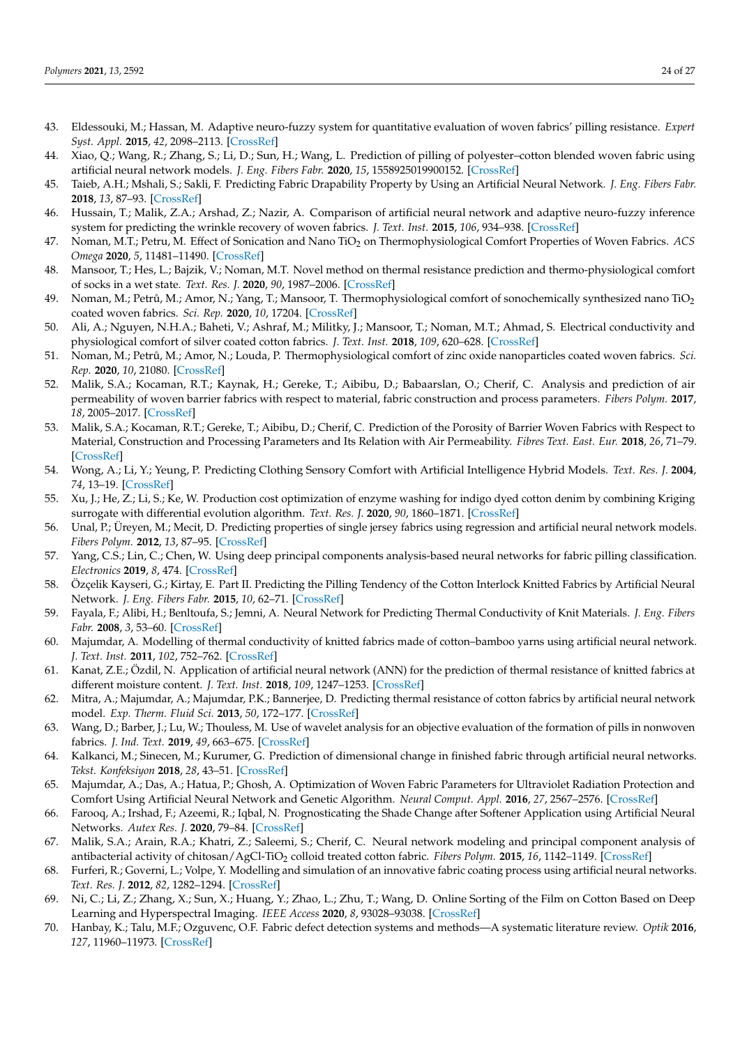- <span id="page-23-0"></span>43. Eldessouki, M.; Hassan, M. Adaptive neuro-fuzzy system for quantitative evaluation of woven fabrics' pilling resistance. *Expert Syst. Appl.* **2015**, *42*, 2098–2113. [\[CrossRef\]](http://dx.doi.org/10.1016/j.eswa.2014.10.013)
- <span id="page-23-1"></span>44. Xiao, Q.; Wang, R.; Zhang, S.; Li, D.; Sun, H.; Wang, L. Prediction of pilling of polyester–cotton blended woven fabric using artificial neural network models. *J. Eng. Fibers Fabr.* **2020**, *15*, 1558925019900152. [\[CrossRef\]](http://dx.doi.org/10.1177/1558925019900152)
- <span id="page-23-2"></span>45. Taieb, A.H.; Mshali, S.; Sakli, F. Predicting Fabric Drapability Property by Using an Artificial Neural Network. *J. Eng. Fibers Fabr.* **2018**, *13*, 87–93. [\[CrossRef\]](http://dx.doi.org/10.1177/155892501801300310)
- <span id="page-23-3"></span>46. Hussain, T.; Malik, Z.A.; Arshad, Z.; Nazir, A. Comparison of artificial neural network and adaptive neuro-fuzzy inference system for predicting the wrinkle recovery of woven fabrics. *J. Text. Inst.* **2015**, *106*, 934–938. [\[CrossRef\]](http://dx.doi.org/10.1080/00405000.2014.953790)
- <span id="page-23-4"></span>47. Noman, M.T.; Petru, M. Effect of Sonication and Nano TiO<sup>2</sup> on Thermophysiological Comfort Properties of Woven Fabrics. *ACS Omega* **2020**, *5*, 11481–11490. [\[CrossRef\]](http://dx.doi.org/10.1021/acsomega.0c00572)
- 48. Mansoor, T.; Hes, L.; Bajzik, V.; Noman, M.T. Novel method on thermal resistance prediction and thermo-physiological comfort of socks in a wet state. *Text. Res. J.* **2020**, *90*, 1987–2006. [\[CrossRef\]](http://dx.doi.org/10.1177/0040517520902540)
- 49. Noman, M.; Petrů, M.; Amor, N.; Yang, T.; Mansoor, T. Thermophysiological comfort of sonochemically synthesized nano TiO<sub>2</sub> coated woven fabrics. *Sci. Rep.* **2020**, *10*, 17204. [\[CrossRef\]](http://dx.doi.org/10.1038/s41598-020-74357-6)
- 50. Ali, A.; Nguyen, N.H.A.; Baheti, V.; Ashraf, M.; Militky, J.; Mansoor, T.; Noman, M.T.; Ahmad, S. Electrical conductivity and physiological comfort of silver coated cotton fabrics. *J. Text. Inst.* **2018**, *109*, 620–628. [\[CrossRef\]](http://dx.doi.org/10.1080/00405000.2017.1362148)
- <span id="page-23-5"></span>51. Noman, M.; Petrů, M.; Amor, N.; Louda, P. Thermophysiological comfort of zinc oxide nanoparticles coated woven fabrics. *Sci. Rep.* **2020**, *10*, 21080. [\[CrossRef\]](http://dx.doi.org/10.1038/s41598-020-78305-2)
- <span id="page-23-6"></span>52. Malik, S.A.; Kocaman, R.T.; Kaynak, H.; Gereke, T.; Aibibu, D.; Babaarslan, O.; Cherif, C. Analysis and prediction of air permeability of woven barrier fabrics with respect to material, fabric construction and process parameters. *Fibers Polym.* **2017**, *18*, 2005–2017. [\[CrossRef\]](http://dx.doi.org/10.1007/s12221-017-7241-5)
- <span id="page-23-7"></span>53. Malik, S.A.; Kocaman, R.T.; Gereke, T.; Aibibu, D.; Cherif, C. Prediction of the Porosity of Barrier Woven Fabrics with Respect to Material, Construction and Processing Parameters and Its Relation with Air Permeability. *Fibres Text. East. Eur.* **2018**, *26*, 71–79. [\[CrossRef\]](http://dx.doi.org/10.5604/01.3001.0011.7306)
- <span id="page-23-8"></span>54. Wong, A.; Li, Y.; Yeung, P. Predicting Clothing Sensory Comfort with Artificial Intelligence Hybrid Models. *Text. Res. J.* **2004**, *74*, 13–19. [\[CrossRef\]](http://dx.doi.org/10.1177/004051750407400103)
- <span id="page-23-9"></span>55. Xu, J.; He, Z.; Li, S.; Ke, W. Production cost optimization of enzyme washing for indigo dyed cotton denim by combining Kriging surrogate with differential evolution algorithm. *Text. Res. J.* **2020**, *90*, 1860–1871. [\[CrossRef\]](http://dx.doi.org/10.1177/0040517520904352)
- <span id="page-23-10"></span>56. Unal, P.; Üreyen, M.; Mecit, D. Predicting properties of single jersey fabrics using regression and artificial neural network models. *Fibers Polym.* **2012**, *13*, 87–95. [\[CrossRef\]](http://dx.doi.org/10.1007/s12221-012-0087-y)
- <span id="page-23-11"></span>57. Yang, C.S.; Lin, C.; Chen, W. Using deep principal components analysis-based neural networks for fabric pilling classification. *Electronics* **2019**, *8*, 474. [\[CrossRef\]](http://dx.doi.org/10.3390/electronics8050474)
- <span id="page-23-12"></span>58. Özçelik Kayseri, G.; Kirtay, E. Part II. Predicting the Pilling Tendency of the Cotton Interlock Knitted Fabrics by Artificial Neural Network. *J. Eng. Fibers Fabr.* **2015**, *10*, 62–71. [\[CrossRef\]](http://dx.doi.org/10.1177/155892501501000417)
- <span id="page-23-13"></span>59. Fayala, F.; Alibi, H.; Benltoufa, S.; Jemni, A. Neural Network for Predicting Thermal Conductivity of Knit Materials. *J. Eng. Fibers Fabr.* **2008**, *3*, 53–60. [\[CrossRef\]](http://dx.doi.org/10.1177/155892500800300407)
- <span id="page-23-14"></span>60. Majumdar, A. Modelling of thermal conductivity of knitted fabrics made of cotton–bamboo yarns using artificial neural network. *J. Text. Inst.* **2011**, *102*, 752–762. [\[CrossRef\]](http://dx.doi.org/10.1080/00405000.2010.516929)
- <span id="page-23-15"></span>61. Kanat, Z.E.; Özdil, N. Application of artificial neural network (ANN) for the prediction of thermal resistance of knitted fabrics at different moisture content. *J. Text. Inst.* **2018**, *109*, 1247–1253. [\[CrossRef\]](http://dx.doi.org/10.1080/00405000.2017.1423003)
- <span id="page-23-16"></span>62. Mitra, A.; Majumdar, A.; Majumdar, P.K.; Bannerjee, D. Predicting thermal resistance of cotton fabrics by artificial neural network model. *Exp. Therm. Fluid Sci.* **2013**, *50*, 172–177. [\[CrossRef\]](http://dx.doi.org/10.1016/j.expthermflusci.2013.06.006)
- <span id="page-23-17"></span>63. Wang, D.; Barber, J.; Lu, W.; Thouless, M. Use of wavelet analysis for an objective evaluation of the formation of pills in nonwoven fabrics. *J. Ind. Text.* **2019**, *49*, 663–675. [\[CrossRef\]](http://dx.doi.org/10.1177/1528083718813524)
- <span id="page-23-18"></span>64. Kalkanci, M.; Sinecen, M.; Kurumer, G. Prediction of dimensional change in finished fabric through artificial neural networks. *Tekst. Konfeksiyon* **2018**, *28*, 43–51. [\[CrossRef\]](http://dx.doi.org/10.1080/00405000.2014.953790)
- <span id="page-23-19"></span>65. Majumdar, A.; Das, A.; Hatua, P.; Ghosh, A. Optimization of Woven Fabric Parameters for Ultraviolet Radiation Protection and Comfort Using Artificial Neural Network and Genetic Algorithm. *Neural Comput. Appl.* **2016**, *27*, 2567–2576. [\[CrossRef\]](http://dx.doi.org/10.1007/s00521-015-2025-6)
- <span id="page-23-20"></span>66. Farooq, A.; Irshad, F.; Azeemi, R.; Iqbal, N. Prognosticating the Shade Change after Softener Application using Artificial Neural Networks. *Autex Res. J.* **2020**, 79–84. [\[CrossRef\]](http://dx.doi.org/10.2478/aut-2020-0019)
- <span id="page-23-21"></span>67. Malik, S.A.; Arain, R.A.; Khatri, Z.; Saleemi, S.; Cherif, C. Neural network modeling and principal component analysis of antibacterial activity of chitosan/AgCl-TiO<sub>2</sub> colloid treated cotton fabric. *Fibers Polym.* **2015**, 16, 1142-1149. [\[CrossRef\]](http://dx.doi.org/10.1007/s12221-015-1142-2)
- <span id="page-23-22"></span>68. Furferi, R.; Governi, L.; Volpe, Y. Modelling and simulation of an innovative fabric coating process using artificial neural networks. *Text. Res. J.* **2012**, *82*, 1282–1294. [\[CrossRef\]](http://dx.doi.org/10.1177/0040517512436828)
- <span id="page-23-23"></span>69. Ni, C.; Li, Z.; Zhang, X.; Sun, X.; Huang, Y.; Zhao, L.; Zhu, T.; Wang, D. Online Sorting of the Film on Cotton Based on Deep Learning and Hyperspectral Imaging. *IEEE Access* **2020**, *8*, 93028–93038. [\[CrossRef\]](http://dx.doi.org/10.1109/ACCESS.2020.2994913)
- <span id="page-23-24"></span>70. Hanbay, K.; Talu, M.F.; Ozguvenc, O.F. Fabric defect detection systems and methods—A systematic literature review. *Optik* **2016**, *127*, 11960–11973. [\[CrossRef\]](http://dx.doi.org/10.1016/j.ijleo.2016.09.110)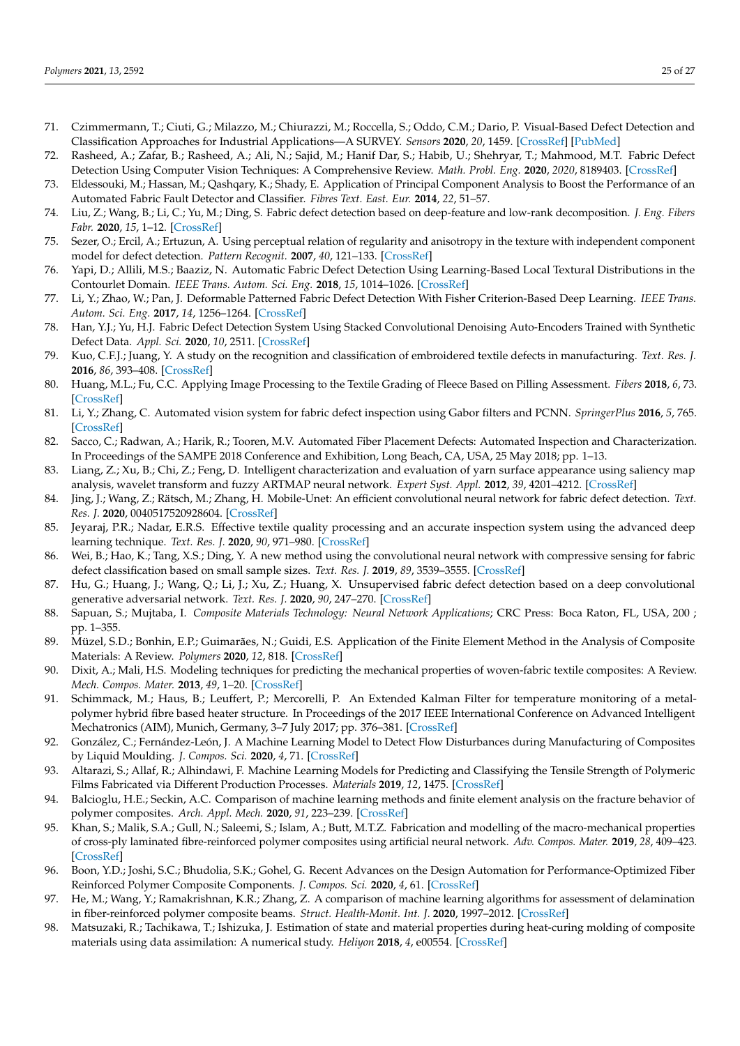- <span id="page-24-0"></span>71. Czimmermann, T.; Ciuti, G.; Milazzo, M.; Chiurazzi, M.; Roccella, S.; Oddo, C.M.; Dario, P. Visual-Based Defect Detection and Classification Approaches for Industrial Applications—A SURVEY. *Sensors* **2020**, *20*, 1459. [\[CrossRef\]](http://dx.doi.org/10.3390/s20051459) [\[PubMed\]](http://www.ncbi.nlm.nih.gov/pubmed/32155900)
- <span id="page-24-1"></span>72. Rasheed, A.; Zafar, B.; Rasheed, A.; Ali, N.; Sajid, M.; Hanif Dar, S.; Habib, U.; Shehryar, T.; Mahmood, M.T. Fabric Defect Detection Using Computer Vision Techniques: A Comprehensive Review. *Math. Probl. Eng.* **2020**, *2020*, 8189403. [\[CrossRef\]](http://dx.doi.org/10.1155/2020/8189403)
- <span id="page-24-2"></span>73. Eldessouki, M.; Hassan, M.; Qashqary, K.; Shady, E. Application of Principal Component Analysis to Boost the Performance of an Automated Fabric Fault Detector and Classifier. *Fibres Text. East. Eur.* **2014**, *22*, 51–57.
- <span id="page-24-3"></span>74. Liu, Z.; Wang, B.; Li, C.; Yu, M.; Ding, S. Fabric defect detection based on deep-feature and low-rank decomposition. *J. Eng. Fibers Fabr.* **2020**, *15*, 1–12. [\[CrossRef\]](http://dx.doi.org/10.1177/1558925020903026)
- <span id="page-24-4"></span>75. Sezer, O.; Ercil, A.; Ertuzun, A. Using perceptual relation of regularity and anisotropy in the texture with independent component model for defect detection. *Pattern Recognit.* **2007**, *40*, 121–133. [\[CrossRef\]](http://dx.doi.org/10.1016/j.patcog.2006.05.023)
- <span id="page-24-5"></span>76. Yapi, D.; Allili, M.S.; Baaziz, N. Automatic Fabric Defect Detection Using Learning-Based Local Textural Distributions in the Contourlet Domain. *IEEE Trans. Autom. Sci. Eng.* **2018**, *15*, 1014–1026. [\[CrossRef\]](http://dx.doi.org/10.1109/TASE.2017.2696748)
- <span id="page-24-6"></span>77. Li, Y.; Zhao, W.; Pan, J. Deformable Patterned Fabric Defect Detection With Fisher Criterion-Based Deep Learning. *IEEE Trans. Autom. Sci. Eng.* **2017**, *14*, 1256–1264. [\[CrossRef\]](http://dx.doi.org/10.1109/TASE.2016.2520955)
- <span id="page-24-7"></span>78. Han, Y.J.; Yu, H.J. Fabric Defect Detection System Using Stacked Convolutional Denoising Auto-Encoders Trained with Synthetic Defect Data. *Appl. Sci.* **2020**, *10*, 2511. [\[CrossRef\]](http://dx.doi.org/10.3390/app10072511)
- <span id="page-24-8"></span>79. Kuo, C.F.J.; Juang, Y. A study on the recognition and classification of embroidered textile defects in manufacturing. *Text. Res. J.* **2016**, *86*, 393–408. [\[CrossRef\]](http://dx.doi.org/10.1177/0040517515590410)
- <span id="page-24-9"></span>80. Huang, M.L.; Fu, C.C. Applying Image Processing to the Textile Grading of Fleece Based on Pilling Assessment. *Fibers* **2018**, *6*, 73. [\[CrossRef\]](http://dx.doi.org/10.3390/fib6040073)
- <span id="page-24-10"></span>81. Li, Y.; Zhang, C. Automated vision system for fabric defect inspection using Gabor filters and PCNN. *SpringerPlus* **2016**, *5*, 765. [\[CrossRef\]](http://dx.doi.org/10.1186/s40064-016-2452-6)
- <span id="page-24-11"></span>82. Sacco, C.; Radwan, A.; Harik, R.; Tooren, M.V. Automated Fiber Placement Defects: Automated Inspection and Characterization. In Proceedings of the SAMPE 2018 Conference and Exhibition, Long Beach, CA, USA, 25 May 2018; pp. 1–13.
- <span id="page-24-12"></span>83. Liang, Z.; Xu, B.; Chi, Z.; Feng, D. Intelligent characterization and evaluation of yarn surface appearance using saliency map analysis, wavelet transform and fuzzy ARTMAP neural network. *Expert Syst. Appl.* **2012**, *39*, 4201–4212. [\[CrossRef\]](http://dx.doi.org/10.1016/j.eswa.2011.09.114)
- <span id="page-24-13"></span>84. Jing, J.; Wang, Z.; Rätsch, M.; Zhang, H. Mobile-Unet: An efficient convolutional neural network for fabric defect detection. *Text. Res. J.* **2020**, 0040517520928604. [\[CrossRef\]](http://dx.doi.org/10.1177/0040517520928604)
- <span id="page-24-14"></span>85. Jeyaraj, P.R.; Nadar, E.R.S. Effective textile quality processing and an accurate inspection system using the advanced deep learning technique. *Text. Res. J.* **2020**, *90*, 971–980. [\[CrossRef\]](http://dx.doi.org/10.1177/0040517519884124)
- <span id="page-24-15"></span>86. Wei, B.; Hao, K.; Tang, X.S.; Ding, Y. A new method using the convolutional neural network with compressive sensing for fabric defect classification based on small sample sizes. *Text. Res. J.* **2019**, *89*, 3539–3555. [\[CrossRef\]](http://dx.doi.org/10.1177/0040517518813656)
- <span id="page-24-16"></span>87. Hu, G.; Huang, J.; Wang, Q.; Li, J.; Xu, Z.; Huang, X. Unsupervised fabric defect detection based on a deep convolutional generative adversarial network. *Text. Res. J.* **2020**, *90*, 247–270. [\[CrossRef\]](http://dx.doi.org/10.1177/0040517519862880)
- <span id="page-24-17"></span>88. Sapuan, S.; Mujtaba, I. *Composite Materials Technology: Neural Network Applications*; CRC Press: Boca Raton, FL, USA, 200 ; pp. 1–355.
- <span id="page-24-18"></span>89. Müzel, S.D.; Bonhin, E.P.; Guimarães, N.; Guidi, E.S. Application of the Finite Element Method in the Analysis of Composite Materials: A Review. *Polymers* **2020**, *12*, 818. [\[CrossRef\]](http://dx.doi.org/10.3390/polym12040818)
- <span id="page-24-19"></span>90. Dixit, A.; Mali, H.S. Modeling techniques for predicting the mechanical properties of woven-fabric textile composites: A Review. *Mech. Compos. Mater.* **2013**, *49*, 1–20. [\[CrossRef\]](http://dx.doi.org/10.1007/s11029-013-9316-8)
- <span id="page-24-20"></span>91. Schimmack, M.; Haus, B.; Leuffert, P.; Mercorelli, P. An Extended Kalman Filter for temperature monitoring of a metalpolymer hybrid fibre based heater structure. In Proceedings of the 2017 IEEE International Conference on Advanced Intelligent Mechatronics (AIM), Munich, Germany, 3–7 July 2017; pp. 376–381. [\[CrossRef\]](http://dx.doi.org/10.1109/AIM.2017.8014046)
- <span id="page-24-21"></span>92. González, C.; Fernández-León, J. A Machine Learning Model to Detect Flow Disturbances during Manufacturing of Composites by Liquid Moulding. *J. Compos. Sci.* **2020**, *4*, 71. [\[CrossRef\]](http://dx.doi.org/10.3390/jcs4020071)
- <span id="page-24-22"></span>93. Altarazi, S.; Allaf, R.; Alhindawi, F. Machine Learning Models for Predicting and Classifying the Tensile Strength of Polymeric Films Fabricated via Different Production Processes. *Materials* **2019**, *12*, 1475. [\[CrossRef\]](http://dx.doi.org/10.3390/ma12091475)
- <span id="page-24-23"></span>94. Balcioglu, H.E.; Seckin, A.C. Comparison of machine learning methods and finite element analysis on the fracture behavior of polymer composites. *Arch. Appl. Mech.* **2020**, *91*, 223–239. [\[CrossRef\]](http://dx.doi.org/10.1007/s00419-020-01765-5)
- <span id="page-24-24"></span>95. Khan, S.; Malik, S.A.; Gull, N.; Saleemi, S.; Islam, A.; Butt, M.T.Z. Fabrication and modelling of the macro-mechanical properties of cross-ply laminated fibre-reinforced polymer composites using artificial neural network. *Adv. Compos. Mater.* **2019**, *28*, 409–423. [\[CrossRef\]](http://dx.doi.org/10.1080/09243046.2019.1573448)
- <span id="page-24-25"></span>96. Boon, Y.D.; Joshi, S.C.; Bhudolia, S.K.; Gohel, G. Recent Advances on the Design Automation for Performance-Optimized Fiber Reinforced Polymer Composite Components. *J. Compos. Sci.* **2020**, *4*, 61. [\[CrossRef\]](http://dx.doi.org/10.3390/jcs4020061)
- <span id="page-24-26"></span>97. He, M.; Wang, Y.; Ramakrishnan, K.R.; Zhang, Z. A comparison of machine learning algorithms for assessment of delamination in fiber-reinforced polymer composite beams. *Struct. Health-Monit. Int. J.* **2020**, 1997–2012. [\[CrossRef\]](http://dx.doi.org/10.1177/1475921720967157)
- <span id="page-24-27"></span>98. Matsuzaki, R.; Tachikawa, T.; Ishizuka, J. Estimation of state and material properties during heat-curing molding of composite materials using data assimilation: A numerical study. *Heliyon* **2018**, *4*, e00554. [\[CrossRef\]](http://dx.doi.org/10.1016/j.heliyon.2018.e00554)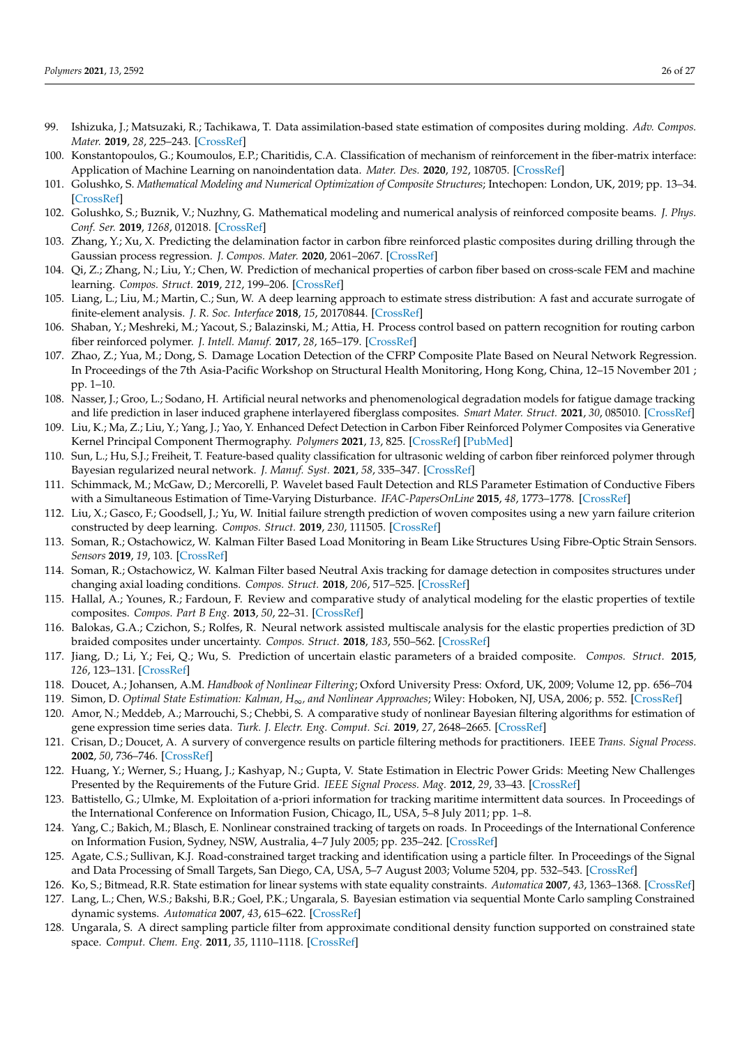- <span id="page-25-0"></span>99. Ishizuka, J.; Matsuzaki, R.; Tachikawa, T. Data assimilation-based state estimation of composites during molding. *Adv. Compos. Mater.* **2019**, *28*, 225–243. [\[CrossRef\]](http://dx.doi.org/10.1080/09243046.2018.1482513)
- <span id="page-25-1"></span>100. Konstantopoulos, G.; Koumoulos, E.P.; Charitidis, C.A. Classification of mechanism of reinforcement in the fiber-matrix interface: Application of Machine Learning on nanoindentation data. *Mater. Des.* **2020**, *192*, 108705. [\[CrossRef\]](http://dx.doi.org/10.1016/j.matdes.2020.108705)
- <span id="page-25-2"></span>101. Golushko, S. *Mathematical Modeling and Numerical Optimization of Composite Structures*; Intechopen: London, UK, 2019; pp. 13–34. [\[CrossRef\]](http://dx.doi.org/10.5772/intechopen.78259)
- <span id="page-25-3"></span>102. Golushko, S.; Buznik, V.; Nuzhny, G. Mathematical modeling and numerical analysis of reinforced composite beams. *J. Phys. Conf. Ser.* **2019**, *1268*, 012018. [\[CrossRef\]](http://dx.doi.org/10.1088/1742-6596/1268/1/012018)
- <span id="page-25-4"></span>103. Zhang, Y.; Xu, X. Predicting the delamination factor in carbon fibre reinforced plastic composites during drilling through the Gaussian process regression. *J. Compos. Mater.* **2020**, 2061–2067. [\[CrossRef\]](http://dx.doi.org/10.1177/0021998320984245)
- <span id="page-25-5"></span>104. Qi, Z.; Zhang, N.; Liu, Y.; Chen, W. Prediction of mechanical properties of carbon fiber based on cross-scale FEM and machine learning. *Compos. Struct.* **2019**, *212*, 199–206. [\[CrossRef\]](http://dx.doi.org/10.1016/j.compstruct.2019.01.042)
- <span id="page-25-6"></span>105. Liang, L.; Liu, M.; Martin, C.; Sun, W. A deep learning approach to estimate stress distribution: A fast and accurate surrogate of finite-element analysis. *J. R. Soc. Interface* **2018**, *15*, 20170844. [\[CrossRef\]](http://dx.doi.org/10.1098/rsif.2017.0844)
- <span id="page-25-7"></span>106. Shaban, Y.; Meshreki, M.; Yacout, S.; Balazinski, M.; Attia, H. Process control based on pattern recognition for routing carbon fiber reinforced polymer. *J. Intell. Manuf.* **2017**, *28*, 165–179. [\[CrossRef\]](http://dx.doi.org/10.1007/s10845-014-0968-6)
- <span id="page-25-8"></span>107. Zhao, Z.; Yua, M.; Dong, S. Damage Location Detection of the CFRP Composite Plate Based on Neural Network Regression. In Proceedings of the 7th Asia-Pacific Workshop on Structural Health Monitoring, Hong Kong, China, 12–15 November 201 ; pp. 1–10.
- <span id="page-25-9"></span>108. Nasser, J.; Groo, L.; Sodano, H. Artificial neural networks and phenomenological degradation models for fatigue damage tracking and life prediction in laser induced graphene interlayered fiberglass composites. *Smart Mater. Struct.* **2021**, *30*, 085010. [\[CrossRef\]](http://dx.doi.org/10.1088/1361-665X/ac093d)
- <span id="page-25-10"></span>109. Liu, K.; Ma, Z.; Liu, Y.; Yang, J.; Yao, Y. Enhanced Defect Detection in Carbon Fiber Reinforced Polymer Composites via Generative Kernel Principal Component Thermography. *Polymers* **2021**, *13*, 825. [\[CrossRef\]](http://dx.doi.org/10.3390/polym13050825) [\[PubMed\]](http://www.ncbi.nlm.nih.gov/pubmed/33800303)
- <span id="page-25-11"></span>110. Sun, L.; Hu, S.J.; Freiheit, T. Feature-based quality classification for ultrasonic welding of carbon fiber reinforced polymer through Bayesian regularized neural network. *J. Manuf. Syst.* **2021**, *58*, 335–347. [\[CrossRef\]](http://dx.doi.org/10.1016/j.jmsy.2020.12.016)
- <span id="page-25-12"></span>111. Schimmack, M.; McGaw, D.; Mercorelli, P. Wavelet based Fault Detection and RLS Parameter Estimation of Conductive Fibers with a Simultaneous Estimation of Time-Varying Disturbance. *IFAC-PapersOnLine* **2015**, *48*, 1773–1778. [\[CrossRef\]](http://dx.doi.org/10.1016/j.ifacol.2015.06.343)
- <span id="page-25-13"></span>112. Liu, X.; Gasco, F.; Goodsell, J.; Yu, W. Initial failure strength prediction of woven composites using a new yarn failure criterion constructed by deep learning. *Compos. Struct.* **2019**, *230*, 111505. [\[CrossRef\]](http://dx.doi.org/10.1016/j.compstruct.2019.111505)
- <span id="page-25-14"></span>113. Soman, R.; Ostachowicz, W. Kalman Filter Based Load Monitoring in Beam Like Structures Using Fibre-Optic Strain Sensors. *Sensors* **2019**, *19*, 103. [\[CrossRef\]](http://dx.doi.org/10.3390/s19010103)
- <span id="page-25-15"></span>114. Soman, R.; Ostachowicz, W. Kalman Filter based Neutral Axis tracking for damage detection in composites structures under changing axial loading conditions. *Compos. Struct.* **2018**, *206*, 517–525. [\[CrossRef\]](http://dx.doi.org/10.1016/j.compstruct.2018.08.058)
- <span id="page-25-16"></span>115. Hallal, A.; Younes, R.; Fardoun, F. Review and comparative study of analytical modeling for the elastic properties of textile composites. *Compos. Part B Eng.* **2013**, *50*, 22–31. [\[CrossRef\]](http://dx.doi.org/10.1016/j.compositesb.2013.01.024)
- <span id="page-25-17"></span>116. Balokas, G.A.; Czichon, S.; Rolfes, R. Neural network assisted multiscale analysis for the elastic properties prediction of 3D braided composites under uncertainty. *Compos. Struct.* **2018**, *183*, 550–562. [\[CrossRef\]](http://dx.doi.org/10.1016/j.compstruct.2017.06.037)
- <span id="page-25-18"></span>117. Jiang, D.; Li, Y.; Fei, Q.; Wu, S. Prediction of uncertain elastic parameters of a braided composite. *Compos. Struct.* **2015**, *126*, 123–131. [\[CrossRef\]](http://dx.doi.org/10.1016/j.compstruct.2015.02.004)
- <span id="page-25-19"></span>118. Doucet, A.; Johansen, A.M. *Handbook of Nonlinear Filtering*; Oxford University Press: Oxford, UK, 2009; Volume 12, pp. 656–704
- <span id="page-25-20"></span>119. Simon, D. *Optimal State Estimation: Kalman, H*∞*, and Nonlinear Approaches*; Wiley: Hoboken, NJ, USA, 2006; p. 552. [\[CrossRef\]](http://dx.doi.org/10.1002/0470045345)
- <span id="page-25-21"></span>120. Amor, N.; Meddeb, A.; Marrouchi, S.; Chebbi, S. A comparative study of nonlinear Bayesian filtering algorithms for estimation of gene expression time series data. *Turk. J. Electr. Eng. Comput. Sci.* **2019**, *27*, 2648–2665. [\[CrossRef\]](http://dx.doi.org/10.3906/elk-1809-187)
- <span id="page-25-22"></span>121. Crisan, D.; Doucet, A. A survery of convergence results on particle filtering methods for practitioners. IEEE *Trans. Signal Process.* **2002**, *50*, 736–746. [\[CrossRef\]](http://dx.doi.org/10.1109/78.984773)
- <span id="page-25-23"></span>122. Huang, Y.; Werner, S.; Huang, J.; Kashyap, N.; Gupta, V. State Estimation in Electric Power Grids: Meeting New Challenges Presented by the Requirements of the Future Grid. *IEEE Signal Process. Mag.* **2012**, *29*, 33–43. [\[CrossRef\]](http://dx.doi.org/10.1109/MSP.2012.2187037)
- 123. Battistello, G.; Ulmke, M. Exploitation of a-priori information for tracking maritime intermittent data sources. In Proceedings of the International Conference on Information Fusion, Chicago, IL, USA, 5–8 July 2011; pp. 1–8.
- <span id="page-25-24"></span>124. Yang, C.; Bakich, M.; Blasch, E. Nonlinear constrained tracking of targets on roads. In Proceedings of the International Conference on Information Fusion, Sydney, NSW, Australia, 4–7 July 2005; pp. 235–242. [\[CrossRef\]](http://dx.doi.org/10.1109/ICIF.2005.1591860)
- 125. Agate, C.S.; Sullivan, K.J. Road-constrained target tracking and identification using a particle filter. In Proceedings of the Signal and Data Processing of Small Targets, San Diego, CA, USA, 5–7 August 2003; Volume 5204, pp. 532–543. [\[CrossRef\]](http://dx.doi.org/10.1117/12.506135)
- <span id="page-25-26"></span><span id="page-25-25"></span>126. Ko, S.; Bitmead, R.R. State estimation for linear systems with state equality constraints. *Automatica* **2007**, *43*, 1363–1368. [\[CrossRef\]](http://dx.doi.org/10.1016/j.automatica.2007.01.017)
- 127. Lang, L.; Chen, W.S.; Bakshi, B.R.; Goel, P.K.; Ungarala, S. Bayesian estimation via sequential Monte Carlo sampling Constrained dynamic systems. *Automatica* **2007**, *43*, 615–622. [\[CrossRef\]](http://dx.doi.org/10.1016/j.automatica.2007.02.012)
- <span id="page-25-27"></span>128. Ungarala, S. A direct sampling particle filter from approximate conditional density function supported on constrained state space. *Comput. Chem. Eng.* **2011**, *35*, 1110–1118. [\[CrossRef\]](http://dx.doi.org/10.1016/j.compchemeng.2010.07.022)